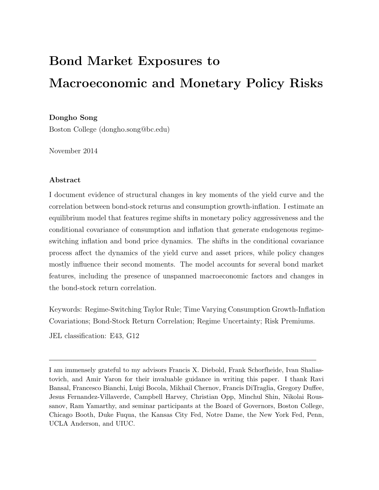# Bond Market Exposures to Macroeconomic and Monetary Policy Risks

#### Dongho Song

Boston College (dongho.song@bc.edu)

November 2014

#### Abstract

I document evidence of structural changes in key moments of the yield curve and the correlation between bond-stock returns and consumption growth-inflation. I estimate an equilibrium model that features regime shifts in monetary policy aggressiveness and the conditional covariance of consumption and inflation that generate endogenous regimeswitching inflation and bond price dynamics. The shifts in the conditional covariance process affect the dynamics of the yield curve and asset prices, while policy changes mostly influence their second moments. The model accounts for several bond market features, including the presence of unspanned macroeconomic factors and changes in the bond-stock return correlation.

Keywords: Regime-Switching Taylor Rule; Time Varying Consumption Growth-Inflation Covariations; Bond-Stock Return Correlation; Regime Uncertainty; Risk Premiums.

JEL classification: E43, G12

I am immensely grateful to my advisors Francis X. Diebold, Frank Schorfheide, Ivan Shaliastovich, and Amir Yaron for their invaluable guidance in writing this paper. I thank Ravi Bansal, Francesco Bianchi, Luigi Bocola, Mikhail Chernov, Francis DiTraglia, Gregory Duffee, Jesus Fernandez-Villaverde, Campbell Harvey, Christian Opp, Minchul Shin, Nikolai Roussanov, Ram Yamarthy, and seminar participants at the Board of Governors, Boston College, Chicago Booth, Duke Fuqua, the Kansas City Fed, Notre Dame, the New York Fed, Penn, UCLA Anderson, and UIUC.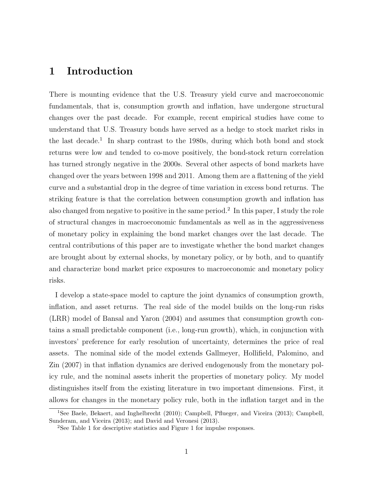## 1 Introduction

There is mounting evidence that the U.S. Treasury yield curve and macroeconomic fundamentals, that is, consumption growth and inflation, have undergone structural changes over the past decade. For example, recent empirical studies have come to understand that U.S. Treasury bonds have served as a hedge to stock market risks in the last decade.<sup>1</sup> In sharp contrast to the 1980s, during which both bond and stock returns were low and tended to co-move positively, the bond-stock return correlation has turned strongly negative in the 2000s. Several other aspects of bond markets have changed over the years between 1998 and 2011. Among them are a flattening of the yield curve and a substantial drop in the degree of time variation in excess bond returns. The striking feature is that the correlation between consumption growth and inflation has also changed from negative to positive in the same period.<sup>2</sup> In this paper, I study the role of structural changes in macroeconomic fundamentals as well as in the aggressiveness of monetary policy in explaining the bond market changes over the last decade. The central contributions of this paper are to investigate whether the bond market changes are brought about by external shocks, by monetary policy, or by both, and to quantify and characterize bond market price exposures to macroeconomic and monetary policy risks.

I develop a state-space model to capture the joint dynamics of consumption growth, inflation, and asset returns. The real side of the model builds on the long-run risks (LRR) model of Bansal and Yaron (2004) and assumes that consumption growth contains a small predictable component (i.e., long-run growth), which, in conjunction with investors' preference for early resolution of uncertainty, determines the price of real assets. The nominal side of the model extends Gallmeyer, Hollifield, Palomino, and Zin (2007) in that inflation dynamics are derived endogenously from the monetary policy rule, and the nominal assets inherit the properties of monetary policy. My model distinguishes itself from the existing literature in two important dimensions. First, it allows for changes in the monetary policy rule, both in the inflation target and in the

<sup>&</sup>lt;sup>1</sup>See Baele, Bekaert, and Inghelbrecht (2010); Campbell, Pflueger, and Viceira (2013); Campbell, Sunderam, and Viceira (2013); and David and Veronesi (2013).

<sup>2</sup>See Table 1 for descriptive statistics and Figure 1 for impulse responses.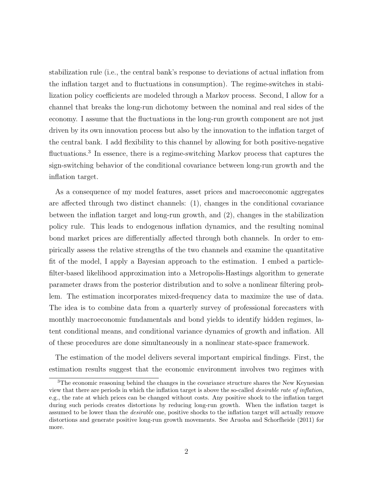stabilization rule (i.e., the central bank's response to deviations of actual inflation from the inflation target and to fluctuations in consumption). The regime-switches in stabilization policy coefficients are modeled through a Markov process. Second, I allow for a channel that breaks the long-run dichotomy between the nominal and real sides of the economy. I assume that the fluctuations in the long-run growth component are not just driven by its own innovation process but also by the innovation to the inflation target of the central bank. I add flexibility to this channel by allowing for both positive-negative fluctuations.<sup>3</sup> In essence, there is a regime-switching Markov process that captures the sign-switching behavior of the conditional covariance between long-run growth and the inflation target.

As a consequence of my model features, asset prices and macroeconomic aggregates are affected through two distinct channels: (1), changes in the conditional covariance between the inflation target and long-run growth, and (2), changes in the stabilization policy rule. This leads to endogenous inflation dynamics, and the resulting nominal bond market prices are differentially affected through both channels. In order to empirically assess the relative strengths of the two channels and examine the quantitative fit of the model, I apply a Bayesian approach to the estimation. I embed a particlefilter-based likelihood approximation into a Metropolis-Hastings algorithm to generate parameter draws from the posterior distribution and to solve a nonlinear filtering problem. The estimation incorporates mixed-frequency data to maximize the use of data. The idea is to combine data from a quarterly survey of professional forecasters with monthly macroeconomic fundamentals and bond yields to identify hidden regimes, latent conditional means, and conditional variance dynamics of growth and inflation. All of these procedures are done simultaneously in a nonlinear state-space framework.

The estimation of the model delivers several important empirical findings. First, the estimation results suggest that the economic environment involves two regimes with

<sup>&</sup>lt;sup>3</sup>The economic reasoning behind the changes in the covariance structure shares the New Keynesian view that there are periods in which the inflation target is above the so-called desirable rate of inflation, e.g., the rate at which prices can be changed without costs. Any positive shock to the inflation target during such periods creates distortions by reducing long-run growth. When the inflation target is assumed to be lower than the desirable one, positive shocks to the inflation target will actually remove distortions and generate positive long-run growth movements. See Aruoba and Schorfheide (2011) for more.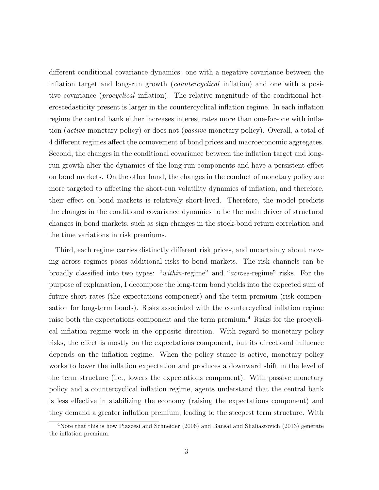different conditional covariance dynamics: one with a negative covariance between the inflation target and long-run growth (countercyclical inflation) and one with a positive covariance (procyclical inflation). The relative magnitude of the conditional heteroscedasticity present is larger in the countercyclical inflation regime. In each inflation regime the central bank either increases interest rates more than one-for-one with inflation (active monetary policy) or does not (passive monetary policy). Overall, a total of 4 different regimes affect the comovement of bond prices and macroeconomic aggregates. Second, the changes in the conditional covariance between the inflation target and longrun growth alter the dynamics of the long-run components and have a persistent effect on bond markets. On the other hand, the changes in the conduct of monetary policy are more targeted to affecting the short-run volatility dynamics of inflation, and therefore, their effect on bond markets is relatively short-lived. Therefore, the model predicts the changes in the conditional covariance dynamics to be the main driver of structural changes in bond markets, such as sign changes in the stock-bond return correlation and the time variations in risk premiums.

Third, each regime carries distinctly different risk prices, and uncertainty about moving across regimes poses additional risks to bond markets. The risk channels can be broadly classified into two types: "within-regime" and "across-regime" risks. For the purpose of explanation, I decompose the long-term bond yields into the expected sum of future short rates (the expectations component) and the term premium (risk compensation for long-term bonds). Risks associated with the countercyclical inflation regime raise both the expectations component and the term premium.<sup>4</sup> Risks for the procyclical inflation regime work in the opposite direction. With regard to monetary policy risks, the effect is mostly on the expectations component, but its directional influence depends on the inflation regime. When the policy stance is active, monetary policy works to lower the inflation expectation and produces a downward shift in the level of the term structure (i.e., lowers the expectations component). With passive monetary policy and a countercyclical inflation regime, agents understand that the central bank is less effective in stabilizing the economy (raising the expectations component) and they demand a greater inflation premium, leading to the steepest term structure. With

<sup>4</sup>Note that this is how Piazzesi and Schneider (2006) and Bansal and Shaliastovich (2013) generate the inflation premium.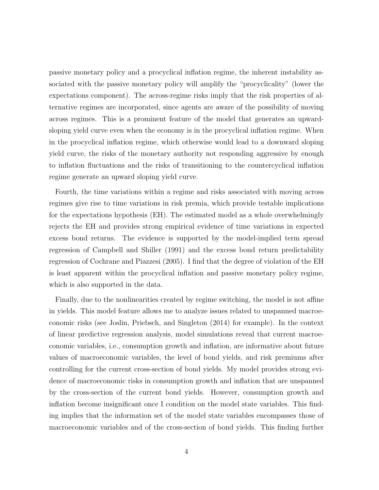passive monetary policy and a procyclical inflation regime, the inherent instability associated with the passive monetary policy will amplify the "procyclicality" (lower the expectations component). The across-regime risks imply that the risk properties of alternative regimes are incorporated, since agents are aware of the possibility of moving across regimes. This is a prominent feature of the model that generates an upwardsloping yield curve even when the economy is in the procyclical inflation regime. When in the procyclical inflation regime, which otherwise would lead to a downward sloping yield curve, the risks of the monetary authority not responding aggressive by enough to inflation fluctuations and the risks of transitioning to the countercyclical inflation regime generate an upward sloping yield curve.

Fourth, the time variations within a regime and risks associated with moving across regimes give rise to time variations in risk premia, which provide testable implications for the expectations hypothesis (EH). The estimated model as a whole overwhelmingly rejects the EH and provides strong empirical evidence of time variations in expected excess bond returns. The evidence is supported by the model-implied term spread regression of Campbell and Shiller (1991) and the excess bond return predictability regression of Cochrane and Piazzesi (2005). I find that the degree of violation of the EH is least apparent within the procyclical inflation and passive monetary policy regime, which is also supported in the data.

Finally, due to the nonlinearities created by regime switching, the model is not affine in yields. This model feature allows me to analyze issues related to unspanned macroeconomic risks (see Joslin, Priebsch, and Singleton (2014) for example). In the context of linear predictive regression analysis, model simulations reveal that current macroeconomic variables, i.e., consumption growth and inflation, are informative about future values of macroeconomic variables, the level of bond yields, and risk premiums after controlling for the current cross-section of bond yields. My model provides strong evidence of macroeconomic risks in consumption growth and inflation that are unspanned by the cross-section of the current bond yields. However, consumption growth and inflation become insignificant once I condition on the model state variables. This finding implies that the information set of the model state variables encompasses those of macroeconomic variables and of the cross-section of bond yields. This finding further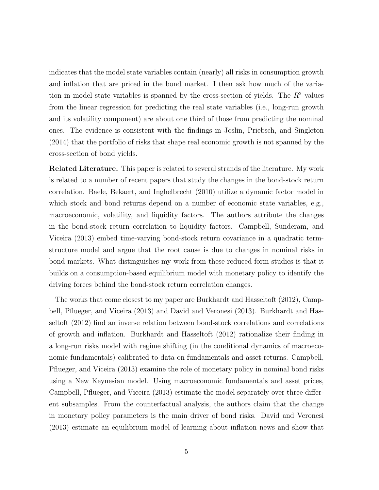indicates that the model state variables contain (nearly) all risks in consumption growth and inflation that are priced in the bond market. I then ask how much of the variation in model state variables is spanned by the cross-section of yields. The  $R^2$  values from the linear regression for predicting the real state variables (i.e., long-run growth and its volatility component) are about one third of those from predicting the nominal ones. The evidence is consistent with the findings in Joslin, Priebsch, and Singleton (2014) that the portfolio of risks that shape real economic growth is not spanned by the cross-section of bond yields.

Related Literature. This paper is related to several strands of the literature. My work is related to a number of recent papers that study the changes in the bond-stock return correlation. Baele, Bekaert, and Inghelbrecht (2010) utilize a dynamic factor model in which stock and bond returns depend on a number of economic state variables, e.g., macroeconomic, volatility, and liquidity factors. The authors attribute the changes in the bond-stock return correlation to liquidity factors. Campbell, Sunderam, and Viceira (2013) embed time-varying bond-stock return covariance in a quadratic termstructure model and argue that the root cause is due to changes in nominal risks in bond markets. What distinguishes my work from these reduced-form studies is that it builds on a consumption-based equilibrium model with monetary policy to identify the driving forces behind the bond-stock return correlation changes.

The works that come closest to my paper are Burkhardt and Hasseltoft (2012), Campbell, Pflueger, and Viceira (2013) and David and Veronesi (2013). Burkhardt and Hasseltoft (2012) find an inverse relation between bond-stock correlations and correlations of growth and inflation. Burkhardt and Hasseltoft (2012) rationalize their finding in a long-run risks model with regime shifting (in the conditional dynamics of macroeconomic fundamentals) calibrated to data on fundamentals and asset returns. Campbell, Pflueger, and Viceira (2013) examine the role of monetary policy in nominal bond risks using a New Keynesian model. Using macroeconomic fundamentals and asset prices, Campbell, Pflueger, and Viceira (2013) estimate the model separately over three different subsamples. From the counterfactual analysis, the authors claim that the change in monetary policy parameters is the main driver of bond risks. David and Veronesi (2013) estimate an equilibrium model of learning about inflation news and show that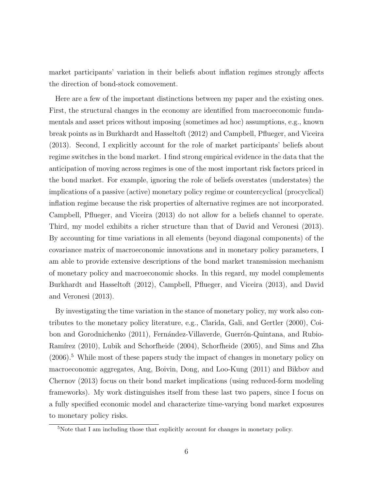market participants' variation in their beliefs about inflation regimes strongly affects the direction of bond-stock comovement.

Here are a few of the important distinctions between my paper and the existing ones. First, the structural changes in the economy are identified from macroeconomic fundamentals and asset prices without imposing (sometimes ad hoc) assumptions, e.g., known break points as in Burkhardt and Hasseltoft (2012) and Campbell, Pflueger, and Viceira (2013). Second, I explicitly account for the role of market participants' beliefs about regime switches in the bond market. I find strong empirical evidence in the data that the anticipation of moving across regimes is one of the most important risk factors priced in the bond market. For example, ignoring the role of beliefs overstates (understates) the implications of a passive (active) monetary policy regime or countercyclical (procyclical) inflation regime because the risk properties of alternative regimes are not incorporated. Campbell, Pflueger, and Viceira (2013) do not allow for a beliefs channel to operate. Third, my model exhibits a richer structure than that of David and Veronesi (2013). By accounting for time variations in all elements (beyond diagonal components) of the covariance matrix of macroeconomic innovations and in monetary policy parameters, I am able to provide extensive descriptions of the bond market transmission mechanism of monetary policy and macroeconomic shocks. In this regard, my model complements Burkhardt and Hasseltoft (2012), Campbell, Pflueger, and Viceira (2013), and David and Veronesi (2013).

By investigating the time variation in the stance of monetary policy, my work also contributes to the monetary policy literature, e.g., Clarida, Gali, and Gertler (2000), Coibon and Gorodnichenko (2011), Fernández-Villaverde, Guerrón-Quintana, and Rubio-Ramírez (2010), Lubik and Schorfheide (2004), Schorfheide (2005), and Sims and Zha  $(2006).$ <sup>5</sup> While most of these papers study the impact of changes in monetary policy on macroeconomic aggregates, Ang, Boivin, Dong, and Loo-Kung (2011) and Bikbov and Chernov (2013) focus on their bond market implications (using reduced-form modeling frameworks). My work distinguishes itself from these last two papers, since I focus on a fully specified economic model and characterize time-varying bond market exposures to monetary policy risks.

<sup>5</sup>Note that I am including those that explicitly account for changes in monetary policy.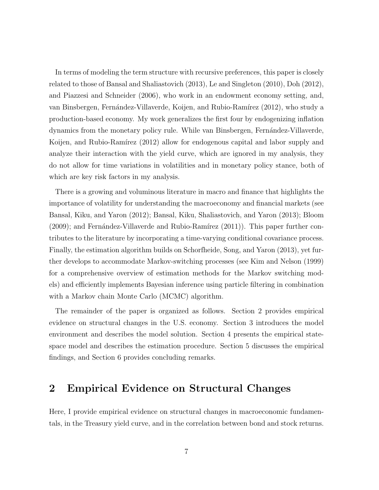In terms of modeling the term structure with recursive preferences, this paper is closely related to those of Bansal and Shaliastovich (2013), Le and Singleton (2010), Doh (2012), and Piazzesi and Schneider (2006), who work in an endowment economy setting, and, van Binsbergen, Fernández-Villaverde, Koijen, and Rubio-Ramírez (2012), who study a production-based economy. My work generalizes the first four by endogenizing inflation dynamics from the monetary policy rule. While van Binsbergen, Fernández-Villaverde, Koijen, and Rubio-Ramírez (2012) allow for endogenous capital and labor supply and analyze their interaction with the yield curve, which are ignored in my analysis, they do not allow for time variations in volatilities and in monetary policy stance, both of which are key risk factors in my analysis.

There is a growing and voluminous literature in macro and finance that highlights the importance of volatility for understanding the macroeconomy and financial markets (see Bansal, Kiku, and Yaron (2012); Bansal, Kiku, Shaliastovich, and Yaron (2013); Bloom  $(2009)$ ; and Fernández-Villaverde and Rubio-Ramírez  $(2011)$ ). This paper further contributes to the literature by incorporating a time-varying conditional covariance process. Finally, the estimation algorithm builds on Schorfheide, Song, and Yaron (2013), yet further develops to accommodate Markov-switching processes (see Kim and Nelson (1999) for a comprehensive overview of estimation methods for the Markov switching models) and efficiently implements Bayesian inference using particle filtering in combination with a Markov chain Monte Carlo (MCMC) algorithm.

The remainder of the paper is organized as follows. Section 2 provides empirical evidence on structural changes in the U.S. economy. Section 3 introduces the model environment and describes the model solution. Section 4 presents the empirical statespace model and describes the estimation procedure. Section 5 discusses the empirical findings, and Section 6 provides concluding remarks.

# 2 Empirical Evidence on Structural Changes

Here, I provide empirical evidence on structural changes in macroeconomic fundamentals, in the Treasury yield curve, and in the correlation between bond and stock returns.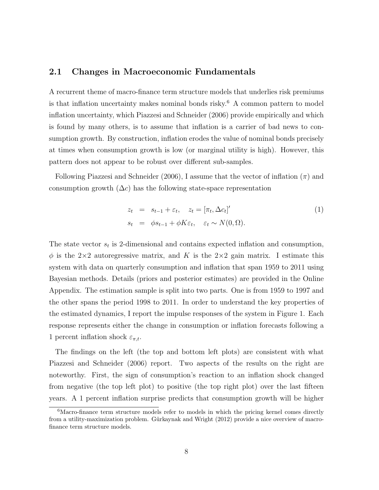## 2.1 Changes in Macroeconomic Fundamentals

A recurrent theme of macro-finance term structure models that underlies risk premiums is that inflation uncertainty makes nominal bonds risky.<sup>6</sup> A common pattern to model inflation uncertainty, which Piazzesi and Schneider (2006) provide empirically and which is found by many others, is to assume that inflation is a carrier of bad news to consumption growth. By construction, inflation erodes the value of nominal bonds precisely at times when consumption growth is low (or marginal utility is high). However, this pattern does not appear to be robust over different sub-samples.

Following Piazzesi and Schneider (2006), I assume that the vector of inflation  $(\pi)$  and consumption growth  $(\Delta c)$  has the following state-space representation

$$
z_t = s_{t-1} + \varepsilon_t, \quad z_t = [\pi_t, \Delta c_t]'
$$
  
\n
$$
s_t = \phi s_{t-1} + \phi K \varepsilon_t, \quad \varepsilon_t \sim N(0, \Omega).
$$
\n(1)

The state vector  $s_t$  is 2-dimensional and contains expected inflation and consumption,  $\phi$  is the 2×2 autoregressive matrix, and K is the 2×2 gain matrix. I estimate this system with data on quarterly consumption and inflation that span 1959 to 2011 using Bayesian methods. Details (priors and posterior estimates) are provided in the Online Appendix. The estimation sample is split into two parts. One is from 1959 to 1997 and the other spans the period 1998 to 2011. In order to understand the key properties of the estimated dynamics, I report the impulse responses of the system in Figure 1. Each response represents either the change in consumption or inflation forecasts following a 1 percent inflation shock  $\varepsilon_{\pi,t}$ .

The findings on the left (the top and bottom left plots) are consistent with what Piazzesi and Schneider (2006) report. Two aspects of the results on the right are noteworthy. First, the sign of consumption's reaction to an inflation shock changed from negative (the top left plot) to positive (the top right plot) over the last fifteen years. A 1 percent inflation surprise predicts that consumption growth will be higher

<sup>&</sup>lt;sup>6</sup>Macro-finance term structure models refer to models in which the pricing kernel comes directly from a utility-maximization problem. Gürkaynak and Wright (2012) provide a nice overview of macrofinance term structure models.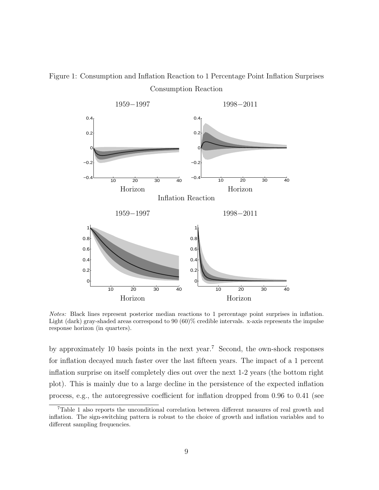Figure 1: Consumption and Inflation Reaction to 1 Percentage Point Inflation Surprises Consumption Reaction



Notes: Black lines represent posterior median reactions to 1 percentage point surprises in inflation. Light (dark) gray-shaded areas correspond to 90 (60)% credible intervals. x-axis represents the impulse response horizon (in quarters).

by approximately 10 basis points in the next year.<sup>7</sup> Second, the own-shock responses for inflation decayed much faster over the last fifteen years. The impact of a 1 percent inflation surprise on itself completely dies out over the next 1-2 years (the bottom right plot). This is mainly due to a large decline in the persistence of the expected inflation process, e.g., the autoregressive coefficient for inflation dropped from 0.96 to 0.41 (see

<sup>7</sup>Table 1 also reports the unconditional correlation between different measures of real growth and inflation. The sign-switching pattern is robust to the choice of growth and inflation variables and to different sampling frequencies.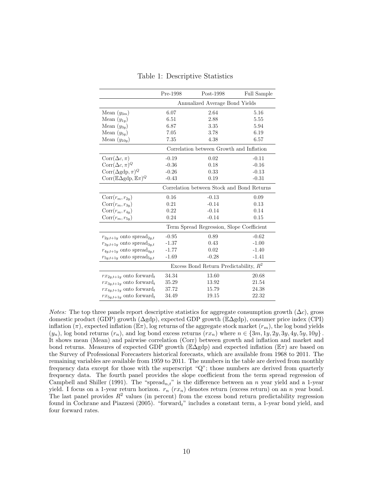|                                                     | Pre-1998                                   | $Post-1998$                               | <b>Full Sample</b> |  |  |  |  |  |
|-----------------------------------------------------|--------------------------------------------|-------------------------------------------|--------------------|--|--|--|--|--|
|                                                     |                                            | Annualized Average Bond Yields            |                    |  |  |  |  |  |
| Mean $(y_{3m})$                                     | 6.07                                       | 2.64                                      | 5.16               |  |  |  |  |  |
| Mean $(y_{1y})$                                     | 6.51                                       | 2.88                                      | 5.55               |  |  |  |  |  |
| Mean $(y_{3y})$                                     | 6.87                                       | 3.35                                      | 5.94               |  |  |  |  |  |
| Mean $(y_{5y})$                                     | 7.05                                       | 3.78                                      | 6.19               |  |  |  |  |  |
| Mean $(y_{10y})$                                    | 7.35                                       | 4.38                                      | 6.57               |  |  |  |  |  |
|                                                     | Correlation between Growth and Inflation   |                                           |                    |  |  |  |  |  |
| $Corr(\Delta c, \pi)$                               | $-0.19$                                    | 0.02                                      | $-0.11$            |  |  |  |  |  |
| $Corr(\Delta c, \pi)^Q$                             | $-0.36$                                    | 0.18                                      | $-0.16$            |  |  |  |  |  |
| $Corr(\Delta gdp, \pi)^{Q}$                         | $-0.26$                                    | 0.33                                      | $-0.13$            |  |  |  |  |  |
| $Corr(\mathbb{E}\Delta\text{gdp}, \mathbb{E}\pi)^Q$ | $-0.43$                                    | 0.19                                      | $-0.31$            |  |  |  |  |  |
|                                                     | Correlation between Stock and Bond Returns |                                           |                    |  |  |  |  |  |
| $Corr(r_m, r_{2y})$                                 | 0.16                                       | $-0.13$                                   | 0.09               |  |  |  |  |  |
| $Corr(r_m, r_{3y})$                                 | 0.21                                       | $-0.14$                                   | 0.13               |  |  |  |  |  |
| $Corr(r_m, r_{4y})$                                 | 0.22                                       | $-0.14$                                   | 0.14               |  |  |  |  |  |
| $Corr(r_m, r_{5y})$                                 | 0.24                                       | $-0.14$                                   | 0.15               |  |  |  |  |  |
|                                                     |                                            | Term Spread Regression, Slope Coefficient |                    |  |  |  |  |  |
| $r_{2y,t+1y}$ onto spread <sub>2y,t</sub>           | $-0.95$                                    | 0.89                                      | $-0.62$            |  |  |  |  |  |
| $r_{3y,t+1y}$ onto spread <sub>3y,t</sub>           | $-1.37$                                    | 0.43                                      | $-1.00$            |  |  |  |  |  |
| $r_{4y,t+1y}$ onto spread <sub>4y,t</sub>           | $-1.77$                                    | 0.02                                      | $-1.40$            |  |  |  |  |  |
| $r_{5y,t+1y}$ onto spread <sub>5y,t</sub>           | $-1.69$                                    | $-0.28$                                   | $-1.41$            |  |  |  |  |  |
|                                                     |                                            | Excess Bond Return Predictability, $R^2$  |                    |  |  |  |  |  |
| $rx_{2y,t+1y}$ onto forward <sub>t</sub>            | 34.34                                      | 13.60                                     | 20.68              |  |  |  |  |  |
| $rx_{3y,t+1y}$ onto forward <sub>t</sub>            | 35.29                                      | 13.92                                     | 21.54              |  |  |  |  |  |
| $rx_{4y,t+1y}$ onto forward <sub>t</sub>            | 37.72                                      | 15.79                                     | 24.38              |  |  |  |  |  |
| $rx_{5y,t+1y}$ onto forward <sub>t</sub>            | 34.49                                      | 19.15                                     | 22.32              |  |  |  |  |  |

Table 1: Descriptive Statistics

*Notes:* The top three panels report descriptive statistics for aggregate consumption growth  $(\Delta c)$ , gross domestic product (GDP) growth (∆gdp), expected GDP growth (E∆gdp), consumer price index (CPI) inflation  $(\pi)$ , expected inflation  $(\mathbb{E}\pi)$ , log returns of the aggregate stock market  $(r_m)$ , the log bond yields  $(y_n)$ , log bond returns  $(r_n)$ , and log bond excess returns  $(rx_n)$  where  $n \in \{3m, 1y, 2y, 3y, 4y, 5y, 10y\}$ . It shows mean (Mean) and pairwise correlation (Corr) between growth and inflation and market and bond returns. Measures of expected GDP growth ( $\mathbb{E}\Delta$ gdp) and expected inflation ( $\mathbb{E}\pi$ ) are based on the Survey of Professional Forecasters historical forecasts, which are available from 1968 to 2011. The remaining variables are available from 1959 to 2011. The numbers in the table are derived from monthly frequency data except for those with the superscript "Q"; those numbers are derived from quarterly frequency data. The fourth panel provides the slope coefficient from the term spread regression of Campbell and Shiller (1991). The "spread<sub>n,t</sub>" is the difference between an n year yield and a 1-year yield. I focus on a 1-year return horizon.  $r_n$  ( $rx_n$ ) denotes return (excess return) on an n year bond. The last panel provides  $R^2$  values (in percent) from the excess bond return predictability regression found in Cochrane and Piazzesi (2005). "forward<sub>t</sub>" includes a constant term, a 1-year bond yield, and four forward rates.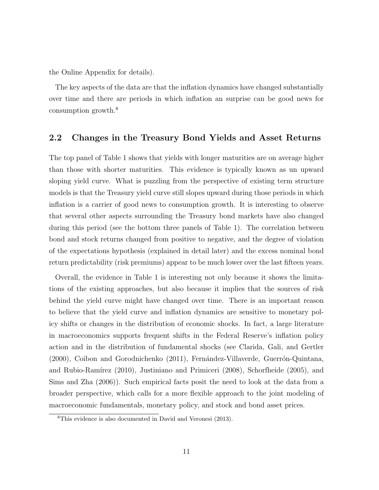the Online Appendix for details).

The key aspects of the data are that the inflation dynamics have changed substantially over time and there are periods in which inflation an surprise can be good news for consumption growth.<sup>8</sup>

#### 2.2 Changes in the Treasury Bond Yields and Asset Returns

The top panel of Table 1 shows that yields with longer maturities are on average higher than those with shorter maturities. This evidence is typically known as un upward sloping yield curve. What is puzzling from the perspective of existing term structure models is that the Treasury yield curve still slopes upward during those periods in which inflation is a carrier of good news to consumption growth. It is interesting to observe that several other aspects surrounding the Treasury bond markets have also changed during this period (see the bottom three panels of Table 1). The correlation between bond and stock returns changed from positive to negative, and the degree of violation of the expectations hypothesis (explained in detail later) and the excess nominal bond return predictability (risk premiums) appear to be much lower over the last fifteen years.

Overall, the evidence in Table 1 is interesting not only because it shows the limitations of the existing approaches, but also because it implies that the sources of risk behind the yield curve might have changed over time. There is an important reason to believe that the yield curve and inflation dynamics are sensitive to monetary policy shifts or changes in the distribution of economic shocks. In fact, a large literature in macroeconomics supports frequent shifts in the Federal Reserve's inflation policy action and in the distribution of fundamental shocks (see Clarida, Gali, and Gertler (2000), Coibon and Gorodnichenko (2011), Fernández-Villaverde, Guerrón-Quintana, and Rubio-Ramírez (2010), Justiniano and Primiceri (2008), Schorfheide (2005), and Sims and Zha (2006)). Such empirical facts posit the need to look at the data from a broader perspective, which calls for a more flexible approach to the joint modeling of macroeconomic fundamentals, monetary policy, and stock and bond asset prices.

<sup>8</sup>This evidence is also documented in David and Veronesi (2013).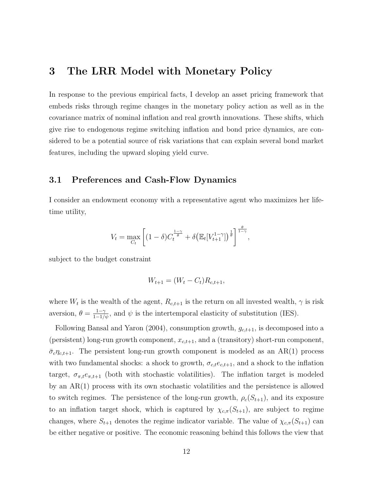# 3 The LRR Model with Monetary Policy

In response to the previous empirical facts, I develop an asset pricing framework that embeds risks through regime changes in the monetary policy action as well as in the covariance matrix of nominal inflation and real growth innovations. These shifts, which give rise to endogenous regime switching inflation and bond price dynamics, are considered to be a potential source of risk variations that can explain several bond market features, including the upward sloping yield curve.

#### 3.1 Preferences and Cash-Flow Dynamics

I consider an endowment economy with a representative agent who maximizes her lifetime utility,

$$
V_t = \max_{C_t} \left[ (1 - \delta) C_t^{\frac{1 - \gamma}{\theta}} + \delta \left( \mathbb{E}_t[V_{t+1}^{1 - \gamma}] \right)^{\frac{1}{\theta}} \right]^{\frac{\theta}{1 - \gamma}},
$$

subject to the budget constraint

$$
W_{t+1} = (W_t - C_t)R_{c,t+1},
$$

where  $W_t$  is the wealth of the agent,  $R_{c,t+1}$  is the return on all invested wealth,  $\gamma$  is risk aversion,  $\theta = \frac{1-\gamma}{1-1/\psi}$ , and  $\psi$  is the intertemporal elasticity of substitution (IES).

Following Bansal and Yaron (2004), consumption growth,  $g_{c,t+1}$ , is decomposed into a (persistent) long-run growth component,  $x_{c,t+1}$ , and a (transitory) short-run component,  $\bar{\sigma}_c \eta_{c,t+1}$ . The persistent long-run growth component is modeled as an AR(1) process with two fundamental shocks: a shock to growth,  $\sigma_{c,t}e_{c,t+1}$ , and a shock to the inflation target,  $\sigma_{\pi,t}e_{\pi,t+1}$  (both with stochastic volatilities). The inflation target is modeled by an AR(1) process with its own stochastic volatilities and the persistence is allowed to switch regimes. The persistence of the long-run growth,  $\rho_c(S_{t+1})$ , and its exposure to an inflation target shock, which is captured by  $\chi_{c,\pi}(S_{t+1})$ , are subject to regime changes, where  $S_{t+1}$  denotes the regime indicator variable. The value of  $\chi_{c,\pi}(S_{t+1})$  can be either negative or positive. The economic reasoning behind this follows the view that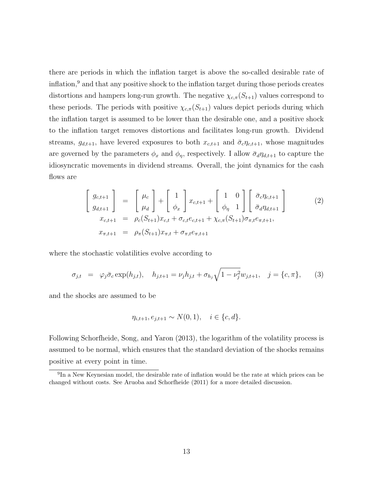there are periods in which the inflation target is above the so-called desirable rate of inflation,<sup>9</sup> and that any positive shock to the inflation target during those periods creates distortions and hampers long-run growth. The negative  $\chi_{c,\pi}(S_{t+1})$  values correspond to these periods. The periods with positive  $\chi_{c,\pi}(S_{t+1})$  values depict periods during which the inflation target is assumed to be lower than the desirable one, and a positive shock to the inflation target removes distortions and facilitates long-run growth. Dividend streams,  $g_{d,t+1}$ , have levered exposures to both  $x_{c,t+1}$  and  $\bar{\sigma}_c \eta_{c,t+1}$ , whose magnitudes are governed by the parameters  $\phi_x$  and  $\phi_\eta$ , respectively. I allow  $\bar{\sigma}_d \eta_{d,t+1}$  to capture the idiosyncratic movements in dividend streams. Overall, the joint dynamics for the cash flows are

$$
\begin{bmatrix} g_{c,t+1} \\ g_{d,t+1} \end{bmatrix} = \begin{bmatrix} \mu_c \\ \mu_d \end{bmatrix} + \begin{bmatrix} 1 \\ \phi_x \end{bmatrix} x_{c,t+1} + \begin{bmatrix} 1 & 0 \\ \phi_{\eta} & 1 \end{bmatrix} \begin{bmatrix} \bar{\sigma}_c \eta_{c,t+1} \\ \bar{\sigma}_d \eta_{d,t+1} \end{bmatrix}
$$
(2)  

$$
\begin{aligned} x_{c,t+1} &= \rho_c(S_{t+1}) x_{c,t} + \sigma_{c,t} e_{c,t+1} + \chi_{c,\pi}(S_{t+1}) \sigma_{\pi,t} e_{\pi,t+1}, \\ x_{\pi,t+1} &= \rho_{\pi}(S_{t+1}) x_{\pi,t} + \sigma_{\pi,t} e_{\pi,t+1} \end{aligned}
$$

where the stochastic volatilities evolve according to

$$
\sigma_{j,t} = \varphi_j \bar{\sigma}_c \exp(h_{j,t}), \quad h_{j,t+1} = \nu_j h_{j,t} + \sigma_{h_j} \sqrt{1 - \nu_j^2} w_{j,t+1}, \quad j = \{c, \pi\}, \tag{3}
$$

and the shocks are assumed to be

$$
\eta_{i,t+1}, e_{j,t+1} \sim N(0, 1), \quad i \in \{c, d\}.
$$

Following Schorfheide, Song, and Yaron (2013), the logarithm of the volatility process is assumed to be normal, which ensures that the standard deviation of the shocks remains positive at every point in time.

<sup>&</sup>lt;sup>9</sup>In a New Keynesian model, the desirable rate of inflation would be the rate at which prices can be changed without costs. See Aruoba and Schorfheide (2011) for a more detailed discussion.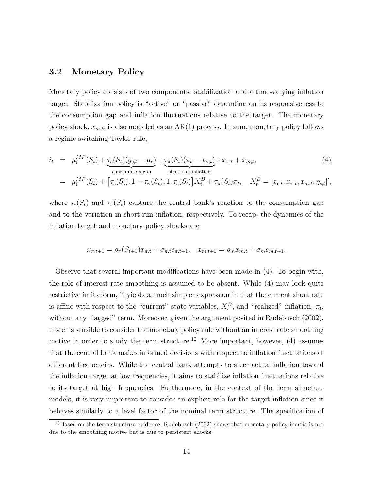## 3.2 Monetary Policy

Monetary policy consists of two components: stabilization and a time-varying inflation target. Stabilization policy is "active" or "passive" depending on its responsiveness to the consumption gap and inflation fluctuations relative to the target. The monetary policy shock,  $x_{m,t}$ , is also modeled as an AR(1) process. In sum, monetary policy follows a regime-switching Taylor rule,

$$
i_{t} = \mu_{i}^{MP}(S_{t}) + \underbrace{\tau_{c}(S_{t})(g_{c,t} - \mu_{c})}_{\text{consumption gap}} + \underbrace{\tau_{\pi}(S_{t})(\pi_{t} - x_{\pi,t})}_{\text{short-run inflation}} + x_{\pi,t} + x_{m,t},
$$
\n(4)  
\n
$$
= \mu_{i}^{MP}(S_{t}) + [\tau_{c}(S_{t}), 1 - \tau_{\pi}(S_{t}), 1, \tau_{c}(S_{t})]X_{t}^{B} + \tau_{\pi}(S_{t})\pi_{t}, \quad X_{t}^{B} = [x_{c,t}, x_{\pi,t}, x_{m,t}, \eta_{c,t}]',
$$

where  $\tau_c(S_t)$  and  $\tau_{\pi}(S_t)$  capture the central bank's reaction to the consumption gap and to the variation in short-run inflation, respectively. To recap, the dynamics of the inflation target and monetary policy shocks are

$$
x_{\pi,t+1} = \rho_{\pi}(S_{t+1})x_{\pi,t} + \sigma_{\pi,t}e_{\pi,t+1}, \quad x_{m,t+1} = \rho_m x_{m,t} + \sigma_m e_{m,t+1}.
$$

Observe that several important modifications have been made in (4). To begin with, the role of interest rate smoothing is assumed to be absent. While (4) may look quite restrictive in its form, it yields a much simpler expression in that the current short rate is affine with respect to the "current" state variables,  $X_t^B$ , and "realized" inflation,  $\pi_t$ , without any "lagged" term. Moreover, given the argument posited in Rudebusch (2002), it seems sensible to consider the monetary policy rule without an interest rate smoothing motive in order to study the term structure.<sup>10</sup> More important, however,  $(4)$  assumes that the central bank makes informed decisions with respect to inflation fluctuations at different frequencies. While the central bank attempts to steer actual inflation toward the inflation target at low frequencies, it aims to stabilize inflation fluctuations relative to its target at high frequencies. Furthermore, in the context of the term structure models, it is very important to consider an explicit role for the target inflation since it behaves similarly to a level factor of the nominal term structure. The specification of

<sup>&</sup>lt;sup>10</sup>Based on the term structure evidence, Rudebusch (2002) shows that monetary policy inertia is not due to the smoothing motive but is due to persistent shocks.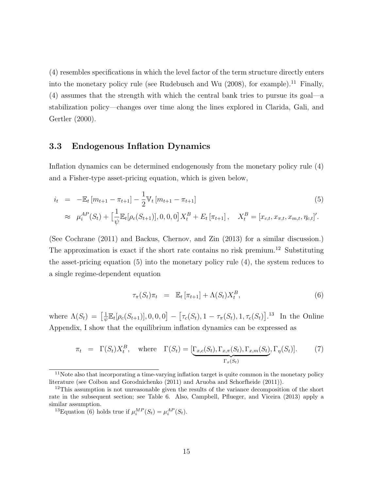(4) resembles specifications in which the level factor of the term structure directly enters into the monetary policy rule (see Rudebusch and Wu  $(2008)$ , for example).<sup>11</sup> Finally, (4) assumes that the strength with which the central bank tries to pursue its goal—a stabilization policy—changes over time along the lines explored in Clarida, Gali, and Gertler (2000).

#### 3.3 Endogenous Inflation Dynamics

Inflation dynamics can be determined endogenously from the monetary policy rule (4) and a Fisher-type asset-pricing equation, which is given below,

$$
\begin{split} i_{t} &= -\mathbb{E}_{t} \left[ m_{t+1} - \pi_{t+1} \right] - \frac{1}{2} \mathbb{V}_{t} \left[ m_{t+1} - \pi_{t+1} \right] \tag{5} \\ &\approx \mu_{i}^{AP}(S_{t}) + \left[ \frac{1}{\psi} \mathbb{E}_{t} [\rho_{c}(S_{t+1})], 0, 0, 0 \right] X_{t}^{B} + E_{t} \left[ \pi_{t+1} \right], \quad X_{t}^{B} = [x_{c,t}, x_{\pi,t}, x_{m,t}, \eta_{c,t}]'. \end{split}
$$

(See Cochrane (2011) and Backus, Chernov, and Zin (2013) for a similar discussion.) The approximation is exact if the short rate contains no risk premium.<sup>12</sup> Substituting the asset-pricing equation (5) into the monetary policy rule (4), the system reduces to a single regime-dependent equation

$$
\tau_{\pi}(S_t)\pi_t = \mathbb{E}_t\left[\pi_{t+1}\right] + \Lambda(S_t)X_t^B,\tag{6}
$$

where  $\Lambda(S_t) = \left[\frac{1}{\psi}\right]$  $\frac{1}{\psi} \mathbb{E}_t[\rho_c(S_{t+1})], 0, 0, 0] - [\tau_c(S_t), 1 - \tau_{\pi}(S_t), 1, \tau_c(S_t)]$ <sup>13</sup> In the Online Appendix, I show that the equilibrium inflation dynamics can be expressed as

$$
\pi_t = \Gamma(S_t) X_t^B, \quad \text{where} \quad \Gamma(S_t) = [\underbrace{\Gamma_{x,c}(S_t), \Gamma_{x,\pi}(S_t), \Gamma_{x,m}(S_t)}_{\Gamma_x(S_t)}, \Gamma_\eta(S_t)]. \tag{7}
$$

<sup>&</sup>lt;sup>11</sup>Note also that incorporating a time-varying inflation target is quite common in the monetary policy literature (see Coibon and Gorodnichenko (2011) and Aruoba and Schorfheide (2011)).

 $12$ This assumption is not unreasonable given the results of the variance decomposition of the short rate in the subsequent section; see Table 6. Also, Campbell, Pflueger, and Viceira (2013) apply a similar assumption.

<sup>&</sup>lt;sup>13</sup>Equation (6) holds true if  $\mu_i^{MP}(S_t) = \mu_i^{AP}(S_t)$ .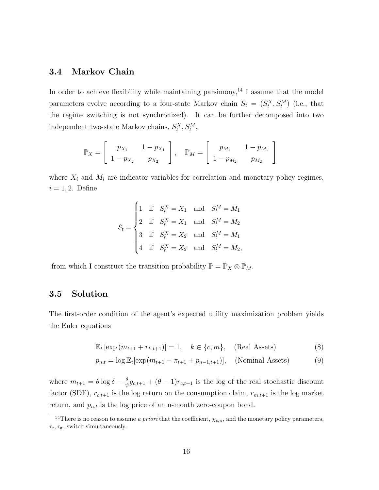## 3.4 Markov Chain

In order to achieve flexibility while maintaining parsimony,<sup>14</sup> I assume that the model parameters evolve according to a four-state Markov chain  $S_t = (S_t^X, S_t^M)$  (i.e., that the regime switching is not synchronized). It can be further decomposed into two independent two-state Markov chains,  $S_t^X$ ,  $S_t^M$ ,

$$
\mathbb{P}_X = \left[ \begin{array}{cc} p_{X_1} & 1 - p_{X_1} \\ 1 - p_{X_2} & p_{X_2} \end{array} \right], \quad \mathbb{P}_M = \left[ \begin{array}{cc} p_{M_1} & 1 - p_{M_1} \\ 1 - p_{M_2} & p_{M_2} \end{array} \right]
$$

where  $X_i$  and  $M_i$  are indicator variables for correlation and monetary policy regimes,  $i = 1, 2$ . Define

$$
S_t = \begin{cases} 1 & \text{if} \quad S_t^X = X_1 \quad \text{and} \quad S_t^M = M_1 \\ 2 & \text{if} \quad S_t^X = X_1 \quad \text{and} \quad S_t^M = M_2 \\ 3 & \text{if} \quad S_t^X = X_2 \quad \text{and} \quad S_t^M = M_1 \\ 4 & \text{if} \quad S_t^X = X_2 \quad \text{and} \quad S_t^M = M_2, \end{cases}
$$

from which I construct the transition probability  $\mathbb{P} = \mathbb{P}_X \otimes \mathbb{P}_M$ .

#### 3.5 Solution

The first-order condition of the agent's expected utility maximization problem yields the Euler equations

$$
\mathbb{E}_t \left[ \exp \left( m_{t+1} + r_{k,t+1} \right) \right] = 1, \quad k \in \{c, m\}, \quad \text{(Real Assets)} \tag{8}
$$

$$
p_{n,t} = \log \mathbb{E}_t[\exp(m_{t+1} - \pi_{t+1} + p_{n-1,t+1})], \quad \text{(Nominal Assets)} \tag{9}
$$

where  $m_{t+1} = \theta \log \delta - \frac{\theta}{\psi}$  $\frac{\theta}{\psi}g_{c,t+1} + (\theta - 1)r_{c,t+1}$  is the log of the real stochastic discount factor (SDF),  $r_{c,t+1}$  is the log return on the consumption claim,  $r_{m,t+1}$  is the log market return, and  $p_{n,t}$  is the log price of an n-month zero-coupon bond.

<sup>&</sup>lt;sup>14</sup>There is no reason to assume a priori that the coefficient,  $\chi_{c,\pi}$ , and the monetary policy parameters,  $\tau_c, \tau_{\pi}$ , switch simultaneously.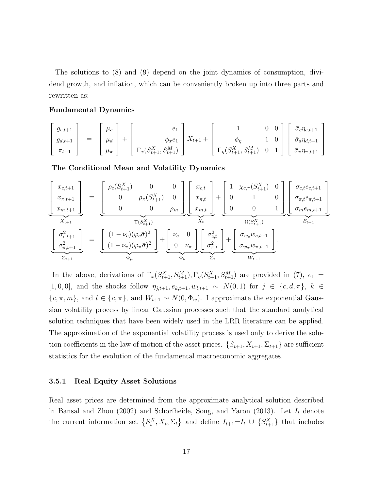The solutions to (8) and (9) depend on the joint dynamics of consumption, dividend growth, and inflation, which can be conveniently broken up into three parts and rewritten as:

#### Fundamental Dynamics

$$
\begin{bmatrix}\ng_{c,t+1} \\
g_{d,t+1} \\
\pi_{t+1}\n\end{bmatrix} = \begin{bmatrix}\n\mu_c \\
\mu_d \\
\mu_{\pi}\n\end{bmatrix} + \begin{bmatrix}\ne_1 \\
\phi_x e_1 \\
\Gamma_x(S_{t+1}^X, S_{t+1}^M)\n\end{bmatrix} X_{t+1} + \begin{bmatrix}\n1 & 0 & 0 \\
\phi_\eta & 1 & 0 \\
\Gamma_\eta(S_{t+1}^X, S_{t+1}^M) & 0 & 1\n\end{bmatrix} \begin{bmatrix}\n\bar{\sigma}_c \eta_{c,t+1} \\
\bar{\sigma}_d \eta_{d,t+1} \\
\bar{\sigma}_\pi \eta_{\pi,t+1}\n\end{bmatrix}
$$

The Conditional Mean and Volatility Dynamics

$$
\begin{bmatrix}\nx_{c,t+1} \\
x_{\pi,t+1} \\
x_{m,t+1}\n\end{bmatrix} = \underbrace{\begin{bmatrix}\n\rho_c(S_{t+1}^X) & 0 & 0 \\
0 & \rho_{\pi}(S_{t+1}^X) & 0 \\
0 & 0 & \rho_m\n\end{bmatrix}}_{\mathbf{Y}(S_{t+1}^X)} \underbrace{\begin{bmatrix}\nx_{c,t} \\
x_{\pi,t} \\
x_{\pi,t}\n\end{bmatrix}}_{X_t} + \underbrace{\begin{bmatrix}\n1 & \chi_{c,\pi}(S_{t+1}^X) & 0 \\
0 & 1 & 0 \\
0 & 0 & 1\n\end{bmatrix}}_{\Omega(S_{t+1}^X)} \underbrace{\begin{bmatrix}\n\sigma_{c,t}e_{c,t+1} \\
\sigma_{m}e_{m,t+1}\n\end{bmatrix}}_{E_{t+1}}
$$
\n
$$
\underbrace{\begin{bmatrix}\n\sigma_{c,t+1}^2 \\
\sigma_{c,t+1}^2\n\end{bmatrix}}_{\mathbf{Y}_{t+1}} = \underbrace{\begin{bmatrix}\n(1 - \nu_c)(\varphi_c \bar{\sigma})^2 \\
(1 - \nu_{\pi})(\varphi_{\pi} \bar{\sigma})^2\n\end{bmatrix}}_{\Phi_{\mu}} + \underbrace{\begin{bmatrix}\nu_c & 0 \\
0 & \nu_{\pi}\n\end{bmatrix}}_{\Phi_{\nu}} \underbrace{\begin{bmatrix}\n\sigma_{c,t}^2 \\
\sigma_{c,t}^2 \\
\sigma_{c,t}^2\n\end{bmatrix}}_{\Sigma_t} + \underbrace{\begin{bmatrix}\n\sigma_{wc} w_{c,t+1} \\
\sigma_{w_{\pi}} w_{\pi,t+1}\n\end{bmatrix}}_{W_{t+1}}.
$$

In the above, derivations of  $\Gamma_x(S_{t+1}^X, S_{t+1}^M), \Gamma_\eta(S_{t+1}^X, S_{t+1}^M)$  are provided in (7),  $e_1 =$  $[1, 0, 0]$ , and the shocks follow  $η_{j,t+1}, e_{k,t+1}, w_{l,t+1}$  ~  $N(0, 1)$  for  $j \in \{c, d, π\}$ ,  $k \in$  ${c, \pi, m}$ , and  $l \in {c, \pi}$ , and  $W_{t+1} \sim N(0, \Phi_w)$ . I approximate the exponential Gaussian volatility process by linear Gaussian processes such that the standard analytical solution techniques that have been widely used in the LRR literature can be applied. The approximation of the exponential volatility process is used only to derive the solution coefficients in the law of motion of the asset prices.  $\{S_{t+1}, X_{t+1}, \Sigma_{t+1}\}\)$  are sufficient statistics for the evolution of the fundamental macroeconomic aggregates.

#### 3.5.1 Real Equity Asset Solutions

Real asset prices are determined from the approximate analytical solution described in Bansal and Zhou (2002) and Schorfheide, Song, and Yaron (2013). Let  $I_t$  denote the current information set  $\{S_t^X, X_t, \Sigma_t\}$  and define  $I_{t+1} = I_t \cup \{S_{t+1}^X\}$  that includes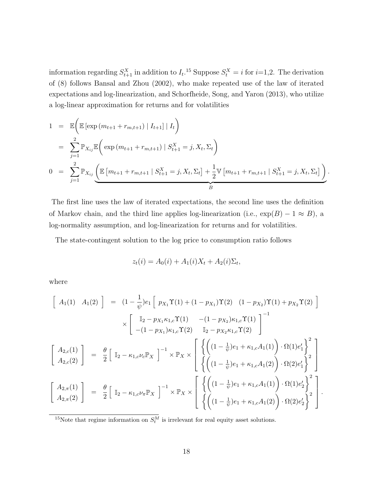information regarding  $S_{t+1}^X$  in addition to  $I_t$ .<sup>15</sup> Suppose  $S_t^X = i$  for  $i=1,2$ . The derivation of (8) follows Bansal and Zhou (2002), who make repeated use of the law of iterated expectations and log-linearization, and Schorfheide, Song, and Yaron (2013), who utilize a log-linear approximation for returns and for volatilities

1 = 
$$
\mathbb{E}\left(\mathbb{E}\left[\exp\left(m_{t+1} + r_{m,t+1}\right) | I_{t+1}\right] | I_t\right)
$$
  
\n=  $\sum_{j=1}^{2} \mathbb{P}_{X_{ij}} \mathbb{E}\left(\exp\left(m_{t+1} + r_{m,t+1}\right) | S_{t+1}^X = j, X_t, \Sigma_t\right)$   
\n0 =  $\sum_{j=1}^{2} \mathbb{P}_{X_{ij}} \underbrace{\left(\mathbb{E}\left[m_{t+1} + r_{m,t+1} | S_{t+1}^X = j, X_t, \Sigma_t\right] + \frac{1}{2} \mathbb{V}\left[m_{t+1} + r_{m,t+1} | S_{t+1}^X = j, X_t, \Sigma_t\right]\right)}_{B}$ .

The first line uses the law of iterated expectations, the second line uses the definition of Markov chain, and the third line applies log-linearization (i.e.,  $\exp(B) - 1 \approx B$ ), a log-normality assumption, and log-linearization for returns and for volatilities.

The state-contingent solution to the log price to consumption ratio follows

$$
z_t(i) = A_0(i) + A_1(i)X_t + A_2(i)\Sigma_t,
$$

where

$$
\begin{bmatrix}\nA_1(1) & A_1(2)\n\end{bmatrix} = (1 - \frac{1}{\psi})e_1 \left[ p_{X_1} \Upsilon(1) + (1 - p_{X_1}) \Upsilon(2) (1 - p_{X_2}) \Upsilon(1) + p_{X_2} \Upsilon(2) \right] \times \begin{bmatrix}\n\mathbb{I}_2 - p_{X_1} \kappa_{1,c} \Upsilon(1) & -(1 - p_{X_2}) \kappa_{1,c} \Upsilon(1) \\
-(1 - p_{X_1}) \kappa_{1,c} \Upsilon(2) & \mathbb{I}_2 - p_{X_2} \kappa_{1,c} \Upsilon(2)\n\end{bmatrix}^{-1}
$$
\n
$$
\begin{bmatrix}\nA_{2,c}(1) \\
A_{2,c}(2)\n\end{bmatrix} = \frac{\theta}{2} \begin{bmatrix}\n\mathbb{I}_2 - \kappa_{1,c} \nu_c \mathbb{P}_X\n\end{bmatrix}^{-1} \times \mathbb{P}_X \times \begin{bmatrix}\n\left\{\left((1 - \frac{1}{\psi})e_1 + \kappa_{1,c} A_1(1)\right) \cdot \Omega(1) e'_1\right\}^2 \\
\left\{\left((1 - \frac{1}{\psi})e_1 + \kappa_{1,c} A_1(2)\right) \cdot \Omega(2) e'_1\right\}^2 \\
A_{2,\pi}(2)\n\end{bmatrix}
$$
\n
$$
\begin{bmatrix}\nA_{2,\pi}(1) \\
A_{2,\pi}(2)\n\end{bmatrix} = \frac{\theta}{2} \begin{bmatrix}\n\mathbb{I}_2 - \kappa_{1,c} \nu_{\pi} \mathbb{P}_X\n\end{bmatrix}^{-1} \times \mathbb{P}_X \times \begin{bmatrix}\n\left\{\left((1 - \frac{1}{\psi})e_1 + \kappa_{1,c} A_1(1)\right) \cdot \Omega(1) e'_2\right\}^2 \\
\left\{\left((1 - \frac{1}{\psi})e_1 + \kappa_{1,c} A_1(2)\right) \cdot \Omega(2) e'_2\right\}^2\n\end{bmatrix}.
$$

<sup>15</sup>Note that regime information on  $S_t^M$  is irrelevant for real equity asset solutions.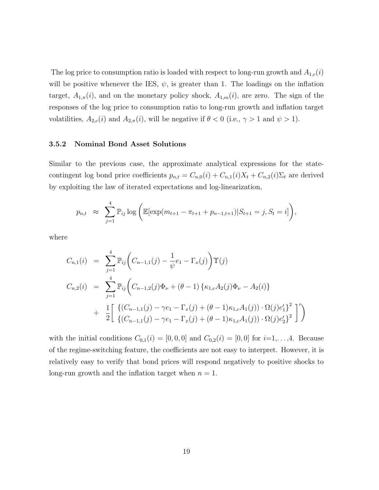The log price to consumption ratio is loaded with respect to long-run growth and  $A_{1,c}(i)$ will be positive whenever the IES,  $\psi$ , is greater than 1. The loadings on the inflation target,  $A_{1,\pi}(i)$ , and on the monetary policy shock,  $A_{1,m}(i)$ , are zero. The sign of the responses of the log price to consumption ratio to long-run growth and inflation target volatilities,  $A_{2,c}(i)$  and  $A_{2,\pi}(i)$ , will be negative if  $\theta < 0$  (i.e.,  $\gamma > 1$  and  $\psi > 1$ ).

#### 3.5.2 Nominal Bond Asset Solutions

Similar to the previous case, the approximate analytical expressions for the statecontingent log bond price coefficients  $p_{n,t} = C_{n,0}(i) + C_{n,1}(i)X_t + C_{n,2}(i)\Sigma_t$  are derived by exploiting the law of iterated expectations and log-linearization,

$$
p_{n,t} \approx \sum_{j=1}^4 \mathbb{P}_{ij} \log \left( \mathbb{E}[\exp(m_{t+1} - \pi_{t+1} + p_{n-1,t+1}) | S_{t+1} = j, S_t = i] \right),
$$

where

$$
C_{n,1}(i) = \sum_{j=1}^{4} \mathbb{P}_{ij} \Big( C_{n-1,1}(j) - \frac{1}{\psi} e_1 - \Gamma_x(j) \Big) \Upsilon(j)
$$
  
\n
$$
C_{n,2}(i) = \sum_{j=1}^{4} \mathbb{P}_{ij} \Big( C_{n-1,2}(j) \Phi_{\nu} + (\theta - 1) \{ \kappa_{1,c} A_2(j) \Phi_{\nu} - A_2(i) \}
$$
  
\n
$$
+ \frac{1}{2} \Big[ \Big\{ \big( C_{n-1,1}(j) - \gamma e_1 - \Gamma_x(j) + (\theta - 1) \kappa_{1,c} A_1(j) \big) \cdot \Omega(j) e_1' \big\}^2 \Big\}' \Big]
$$
  
\n
$$
+ \Big[ \frac{1}{2} \Big[ \Big\{ \big( C_{n-1,1}(j) - \gamma e_1 - \Gamma_x(j) + (\theta - 1) \kappa_{1,c} A_1(j) \big) \cdot \Omega(j) e_2' \Big\}^2 \Big]'
$$

with the initial conditions  $C_{0,1}(i) = [0, 0, 0]$  and  $C_{0,2}(i) = [0, 0]$  for  $i=1,...,4$ . Because of the regime-switching feature, the coefficients are not easy to interpret. However, it is relatively easy to verify that bond prices will respond negatively to positive shocks to long-run growth and the inflation target when  $n = 1$ .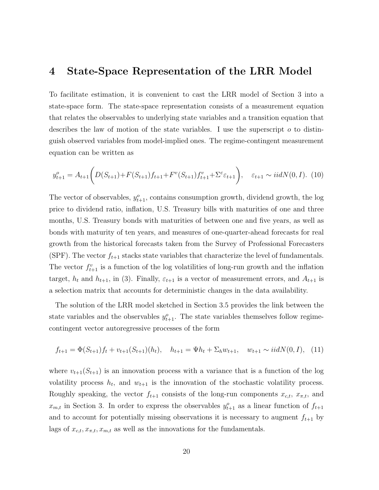## 4 State-Space Representation of the LRR Model

To facilitate estimation, it is convenient to cast the LRR model of Section 3 into a state-space form. The state-space representation consists of a measurement equation that relates the observables to underlying state variables and a transition equation that describes the law of motion of the state variables. I use the superscript  $o$  to distinguish observed variables from model-implied ones. The regime-contingent measurement equation can be written as

$$
y_{t+1}^o = A_{t+1} \bigg( D(S_{t+1}) + F(S_{t+1}) f_{t+1} + F^v(S_{t+1}) f_{t+1}^v + \Sigma^{\varepsilon} \varepsilon_{t+1} \bigg), \quad \varepsilon_{t+1} \sim \text{iidN}(0, I). \tag{10}
$$

The vector of observables,  $y_{t+1}^o$ , contains consumption growth, dividend growth, the log price to dividend ratio, inflation, U.S. Treasury bills with maturities of one and three months, U.S. Treasury bonds with maturities of between one and five years, as well as bonds with maturity of ten years, and measures of one-quarter-ahead forecasts for real growth from the historical forecasts taken from the Survey of Professional Forecasters (SPF). The vector  $f_{t+1}$  stacks state variables that characterize the level of fundamentals. The vector  $f_{t+1}^v$  is a function of the log volatilities of long-run growth and the inflation target,  $h_t$  and  $h_{t+1}$ , in (3). Finally,  $\varepsilon_{t+1}$  is a vector of measurement errors, and  $A_{t+1}$  is a selection matrix that accounts for deterministic changes in the data availability.

The solution of the LRR model sketched in Section 3.5 provides the link between the state variables and the observables  $y_{t+1}^o$ . The state variables themselves follow regimecontingent vector autoregressive processes of the form

$$
f_{t+1} = \Phi(S_{t+1})f_t + v_{t+1}(S_{t+1})(h_t), \quad h_{t+1} = \Psi h_t + \Sigma_h w_{t+1}, \quad w_{t+1} \sim i\mathcal{U}N(0, I), \tag{11}
$$

where  $v_{t+1}(S_{t+1})$  is an innovation process with a variance that is a function of the log volatility process  $h_t$ , and  $w_{t+1}$  is the innovation of the stochastic volatility process. Roughly speaking, the vector  $f_{t+1}$  consists of the long-run components  $x_{c,t}$ ,  $x_{\pi,t}$ , and  $x_{m,t}$  in Section 3. In order to express the observables  $y_{t+1}^o$  as a linear function of  $f_{t+1}$ and to account for potentially missing observations it is necessary to augment  $f_{t+1}$  by lags of  $x_{c,t}, x_{\pi,t}, x_{m,t}$  as well as the innovations for the fundamentals.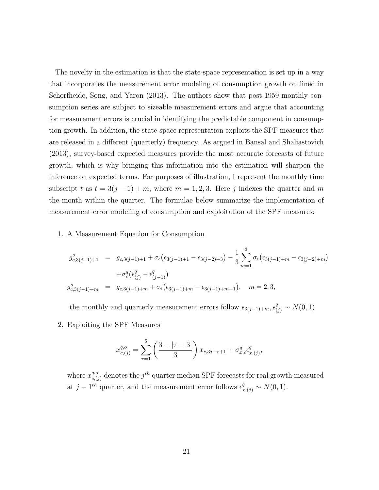The novelty in the estimation is that the state-space representation is set up in a way that incorporates the measurement error modeling of consumption growth outlined in Schorfheide, Song, and Yaron (2013). The authors show that post-1959 monthly consumption series are subject to sizeable measurement errors and argue that accounting for measurement errors is crucial in identifying the predictable component in consumption growth. In addition, the state-space representation exploits the SPF measures that are released in a different (quarterly) frequency. As argued in Bansal and Shaliastovich (2013), survey-based expected measures provide the most accurate forecasts of future growth, which is why bringing this information into the estimation will sharpen the inference on expected terms. For purposes of illustration, I represent the monthly time subscript t as  $t = 3(j - 1) + m$ , where  $m = 1, 2, 3$ . Here j indexes the quarter and m the month within the quarter. The formulae below summarize the implementation of measurement error modeling of consumption and exploitation of the SPF measures:

1. A Measurement Equation for Consumption

$$
g_{c,3(j-1)+1}^{o} = g_{c,3(j-1)+1} + \sigma_{\epsilon}(\epsilon_{3(j-1)+1} - \epsilon_{3(j-2)+3}) - \frac{1}{3} \sum_{m=1}^{3} \sigma_{\epsilon}(\epsilon_{3(j-1)+m} - \epsilon_{3(j-2)+m})
$$
  
+ 
$$
\sigma_{\epsilon}^{q}(\epsilon_{(j)}^{q} - \epsilon_{(j-1)}^{q})
$$
  

$$
g_{c,3(j-1)+m}^{o} = g_{c,3(j-1)+m} + \sigma_{\epsilon}(\epsilon_{3(j-1)+m} - \epsilon_{3(j-1)+m-1}), \quad m = 2,3,
$$

the monthly and quarterly measurement errors follow  $\epsilon_{3(j-1)+m}, \epsilon_{(j)}^q \sim N(0, 1)$ .

2. Exploiting the SPF Measures

$$
x_{c,(j)}^{q,o} = \sum_{\tau=1}^{5} \left( \frac{3 - |\tau - 3|}{3} \right) x_{c,3j-\tau+1} + \sigma_{x,\epsilon}^q \epsilon_{x,(j)}^q,
$$

where  $x_{c}^{q,o}$  $_{c,(j)}^{q,o}$  denotes the  $j^{th}$  quarter median SPF forecasts for real growth measured at  $j - 1$ <sup>th</sup> quarter, and the measurement error follows  $\epsilon_{x,(j)}^q \sim N(0, 1)$ .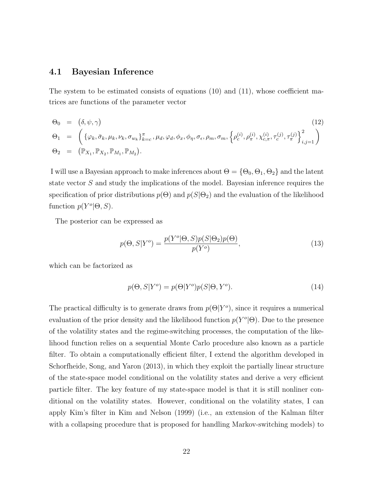#### 4.1 Bayesian Inference

The system to be estimated consists of equations (10) and (11), whose coefficient matrices are functions of the parameter vector

$$
\Theta_0 = (\delta, \psi, \gamma) \tag{12}
$$
\n
$$
\Theta_1 = \left( \{ \varphi_k, \bar{\sigma}_k, \mu_k, \nu_k, \sigma_{w_k} \}_{k=c}^{\pi}, \mu_d, \varphi_d, \phi_x, \phi_\eta, \sigma_\epsilon, \rho_m, \sigma_m, \left\{ \rho_c^{(i)}, \rho_\pi^{(i)}, \chi_{c,\pi}^{(i)}, \tau_c^{(j)}, \tau_\pi^{(j)} \right\}_{i,j=1}^2 \right)
$$
\n
$$
\Theta_2 = (\mathbb{P}_{X_1}, \mathbb{P}_{X_2}, \mathbb{P}_{M_1}, \mathbb{P}_{M_2}).
$$

I will use a Bayesian approach to make inferences about  $\Theta = \{\Theta_0, \Theta_1, \Theta_2\}$  and the latent state vector S and study the implications of the model. Bayesian inference requires the specification of prior distributions  $p(\Theta)$  and  $p(S|\Theta_2)$  and the evaluation of the likelihood function  $p(Y^o | \Theta, S)$ .

The posterior can be expressed as

$$
p(\Theta, S|Y^o) = \frac{p(Y^o|\Theta, S)p(S|\Theta_2)p(\Theta)}{p(Y^o)},
$$
\n(13)

which can be factorized as

$$
p(\Theta, S|Y^o) = p(\Theta|Y^o)p(S|\Theta, Y^o). \tag{14}
$$

The practical difficulty is to generate draws from  $p(\Theta|Y^o)$ , since it requires a numerical evaluation of the prior density and the likelihood function  $p(Y^o|\Theta)$ . Due to the presence of the volatility states and the regime-switching processes, the computation of the likelihood function relies on a sequential Monte Carlo procedure also known as a particle filter. To obtain a computationally efficient filter, I extend the algorithm developed in Schorfheide, Song, and Yaron (2013), in which they exploit the partially linear structure of the state-space model conditional on the volatility states and derive a very efficient particle filter. The key feature of my state-space model is that it is still nonliner conditional on the volatility states. However, conditional on the volatility states, I can apply Kim's filter in Kim and Nelson (1999) (i.e., an extension of the Kalman filter with a collapsing procedure that is proposed for handling Markov-switching models) to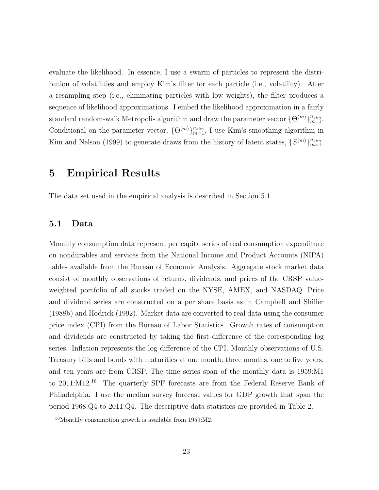evaluate the likelihood. In essence, I use a swarm of particles to represent the distribution of volatilities and employ Kim's filter for each particle (i.e., volatility). After a resampling step (i.e., eliminating particles with low weights), the filter produces a sequence of likelihood approximations. I embed the likelihood approximation in a fairly standard random-walk Metropolis algorithm and draw the parameter vector  $\{\Theta^{(m)}\}_{m=1}^{n_{sim}}$ . Conditional on the parameter vector,  ${\Theta^{(m)}}_{m=1}^{n_{sim}}$ , I use Kim's smoothing algorithm in Kim and Nelson (1999) to generate draws from the history of latent states,  $\{S^{(m)}\}_{m=1}^{n_{sim}}$ .

# 5 Empirical Results

The data set used in the empirical analysis is described in Section 5.1.

#### 5.1 Data

Monthly consumption data represent per capita series of real consumption expenditure on nondurables and services from the National Income and Product Accounts (NIPA) tables available from the Bureau of Economic Analysis. Aggregate stock market data consist of monthly observations of returns, dividends, and prices of the CRSP valueweighted portfolio of all stocks traded on the NYSE, AMEX, and NASDAQ. Price and dividend series are constructed on a per share basis as in Campbell and Shiller (1988b) and Hodrick (1992). Market data are converted to real data using the consumer price index (CPI) from the Bureau of Labor Statistics. Growth rates of consumption and dividends are constructed by taking the first difference of the corresponding log series. Inflation represents the log difference of the CPI. Monthly observations of U.S. Treasury bills and bonds with maturities at one month, three months, one to five years, and ten years are from CRSP. The time series span of the monthly data is 1959:M1 to 2011:M12.<sup>16</sup> The quarterly SPF forecasts are from the Federal Reserve Bank of Philadelphia. I use the median survey forecast values for GDP growth that span the period 1968:Q4 to 2011:Q4. The descriptive data statistics are provided in Table 2.

 $16$ Monthly consumption growth is available from 1959:M2.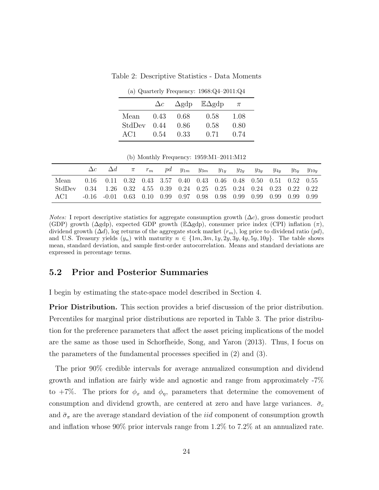|        | $\Delta c$ |       | $\Delta$ gdp $E\Delta$ gdp | $\pi$ |
|--------|------------|-------|----------------------------|-------|
| Mean   | 0.43       | -0.68 | 0.58                       | 1.08  |
| StdDev | 0.44       | 0.86  | 0.58                       | 0.80  |
| AC1    | 0.54       | 0.33  | 0.71                       | 0.74  |

Table 2: Descriptive Statistics - Data Moments

(a) Quarterly Frequency: 1968:Q4–2011:Q4

(b) Monthly Frequency: 1959:M1–2011:M12

|        | $\Delta c$ | $\Delta d$                                                                                   |  | $\pi$ $r_m$ $pd$ $y_{1m}$ $y_{3m}$ $y_{1y}$ |  | $y_{2y}$ . | $y_{3u}$ | $y_{4y}$ | $y_{5y}$ $y_{10y}$ |
|--------|------------|----------------------------------------------------------------------------------------------|--|---------------------------------------------|--|------------|----------|----------|--------------------|
| Mean   |            | $0.16$ $0.11$ $0.32$ $0.43$ $3.57$ $0.40$ $0.43$ $0.46$ $0.48$ $0.50$ $0.51$ $0.52$ $0.55$   |  |                                             |  |            |          |          |                    |
| StdDev |            | $0.34$ 1.26 $0.32$ 4.55 0.39 0.24 0.25 0.25 0.24 0.24 0.23 0.22 0.22                         |  |                                             |  |            |          |          |                    |
| AC1.   |            | $-0.16$ $-0.01$ $0.63$ $0.10$ $0.99$ $0.97$ $0.98$ $0.98$ $0.99$ $0.99$ $0.99$ $0.99$ $0.99$ |  |                                             |  |            |          |          |                    |

*Notes:* I report descriptive statistics for aggregate consumption growth  $(\Delta c)$ , gross domestic product (GDP) growth ( $\Delta$ gdp), expected GDP growth ( $\mathbb{E}\Delta$ gdp), consumer price index (CPI) inflation ( $\pi$ ), dividend growth  $(\Delta d)$ , log returns of the aggregate stock market  $(r_m)$ , log price to dividend ratio  $(pd)$ , and U.S. Treasury yields  $(y_n)$  with maturity  $n \in \{1m, 3m, 1y, 2y, 3y, 4y, 5y, 10y\}$ . The table shows mean, standard deviation, and sample first-order autocorrelation. Means and standard deviations are expressed in percentage terms.

#### 5.2 Prior and Posterior Summaries

I begin by estimating the state-space model described in Section 4.

Prior Distribution. This section provides a brief discussion of the prior distribution. Percentiles for marginal prior distributions are reported in Table 3. The prior distribution for the preference parameters that affect the asset pricing implications of the model are the same as those used in Schorfheide, Song, and Yaron (2013). Thus, I focus on the parameters of the fundamental processes specified in (2) and (3).

The prior 90% credible intervals for average annualized consumption and dividend growth and inflation are fairly wide and agnostic and range from approximately -7% to +7%. The priors for  $\phi_x$  and  $\phi_y$ , parameters that determine the comovement of consumption and dividend growth, are centered at zero and have large variances.  $\bar{\sigma}_c$ and  $\bar{\sigma}_{\pi}$  are the average standard deviation of the *iid* component of consumption growth and inflation whose 90% prior intervals range from 1.2% to 7.2% at an annualized rate.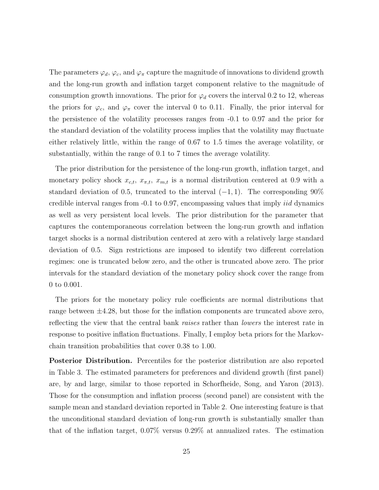The parameters  $\varphi_d$ ,  $\varphi_c$ , and  $\varphi_\pi$  capture the magnitude of innovations to dividend growth and the long-run growth and inflation target component relative to the magnitude of consumption growth innovations. The prior for  $\varphi_d$  covers the interval 0.2 to 12, whereas the priors for  $\varphi_c$ , and  $\varphi_{\pi}$  cover the interval 0 to 0.11. Finally, the prior interval for the persistence of the volatility processes ranges from -0.1 to 0.97 and the prior for the standard deviation of the volatility process implies that the volatility may fluctuate either relatively little, within the range of 0.67 to 1.5 times the average volatility, or substantially, within the range of 0.1 to 7 times the average volatility.

The prior distribution for the persistence of the long-run growth, inflation target, and monetary policy shock  $x_{c,t}$ ,  $x_{\pi,t}$ ,  $x_{m,t}$  is a normal distribution centered at 0.9 with a standard deviation of 0.5, truncated to the interval  $(-1, 1)$ . The corresponding 90% credible interval ranges from  $-0.1$  to 0.97, encompassing values that imply *iid* dynamics as well as very persistent local levels. The prior distribution for the parameter that captures the contemporaneous correlation between the long-run growth and inflation target shocks is a normal distribution centered at zero with a relatively large standard deviation of 0.5. Sign restrictions are imposed to identify two different correlation regimes: one is truncated below zero, and the other is truncated above zero. The prior intervals for the standard deviation of the monetary policy shock cover the range from 0 to 0.001.

The priors for the monetary policy rule coefficients are normal distributions that range between ±4.28, but those for the inflation components are truncated above zero, reflecting the view that the central bank *raises* rather than *lowers* the interest rate in response to positive inflation fluctuations. Finally, I employ beta priors for the Markovchain transition probabilities that cover 0.38 to 1.00.

Posterior Distribution. Percentiles for the posterior distribution are also reported in Table 3. The estimated parameters for preferences and dividend growth (first panel) are, by and large, similar to those reported in Schorfheide, Song, and Yaron (2013). Those for the consumption and inflation process (second panel) are consistent with the sample mean and standard deviation reported in Table 2. One interesting feature is that the unconditional standard deviation of long-run growth is substantially smaller than that of the inflation target, 0.07% versus 0.29% at annualized rates. The estimation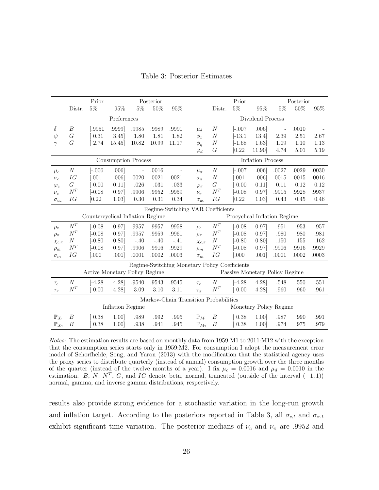|                                   | Prior<br>Posterior         |                                  |                  |                |           |                   |                                               | Prior                        |                                |                  |                          | Posterior |       |  |
|-----------------------------------|----------------------------|----------------------------------|------------------|----------------|-----------|-------------------|-----------------------------------------------|------------------------------|--------------------------------|------------------|--------------------------|-----------|-------|--|
|                                   | Distr.                     | $5\%$                            | 95%              | $5\%$          | $50\%$    | $95\%$            |                                               | Distr.                       | $5\%$                          | $95\%$           | $5\%$                    | $50\%$    | 95%   |  |
|                                   |                            |                                  | Preferences      |                |           |                   |                                               |                              |                                | Dividend Process |                          |           |       |  |
| $\delta$                          | $\boldsymbol{B}$           | [.9951                           | .9999]           | .9985          | .9989     | .9991             | $\mu_d$                                       | $\boldsymbol{N}$             | $[-.007]$                      | .006             | $\overline{\phantom{m}}$ | .0010     |       |  |
| $\psi$                            | $\overline{G}$             | 0.31                             | 3.45             | 1.80           | 1.81      | 1.82              | $\phi_x$                                      | $\overline{N}$               | $[-13.1]$                      | 13.4             | 2.39                     | 2.51      | 2.67  |  |
| $\gamma$                          | G                          | 2.74                             | 15.45            | 10.82          | 10.99     | 11.17             | $\phi_n$                                      | $\boldsymbol{N}$             | $[-1.68]$                      | 1.63             | 1.09                     | 1.10      | 1.13  |  |
|                                   |                            |                                  |                  |                |           |                   | $\varphi_d$                                   | G                            | [0.22]                         | 11.90            | 4.74                     | 5.01      | 5.19  |  |
|                                   | <b>Consumption Process</b> |                                  |                  |                |           |                   |                                               | <b>Inflation Process</b>     |                                |                  |                          |           |       |  |
| $\mu_c$                           | $\boldsymbol{N}$           | $[-.006]$                        | .006             | $\overline{a}$ | .0016     | $\qquad \qquad -$ | $\mu_{\pi}$                                   | $\boldsymbol{N}$             | $[-.007]$                      | .006             | .0027                    | .0029     | .0030 |  |
| $\bar{\sigma}_c$                  | IG                         | [.001]                           | .006             | .0020          | .0021     | .0021             | $\bar{\sigma}_{\pi}$                          | $\boldsymbol{N}$             | $\left[ .001 \right]$          | .006             | .0015                    | .0015     | .0016 |  |
| $\varphi_c$                       | $G\,$                      | 0.00                             | 0.11             | .026           | $.031\,$  | .033              | $\varphi_{\pi}$                               | G                            | 0.00                           | 0.11]            | 0.11                     | 0.12      | 0.12  |  |
| $\nu_c$                           | $N^T$                      | $[-0.08]$                        | 0.97             | .9906          | .9952     | .9959             | $\nu_{\pi}$                                   | $N^T$                        | $[-0.08]$                      | 0.97             | .9915                    | .9928     | .9937 |  |
| $\sigma_{w_c}$                    | ΙG                         | [0.22]                           | 1.03             | 0.30           | 0.31      | 0.34              | $\sigma_{w_{\pi}}$                            | ΙG                           | [0.22]                         | 1.03             | 0.43                     | 0.45      | 0.46  |  |
| Regime-Switching VAR Coefficients |                            |                                  |                  |                |           |                   |                                               |                              |                                |                  |                          |           |       |  |
|                                   |                            | Countercyclical Inflation Regime |                  |                |           |                   |                                               | Procyclical Inflation Regime |                                |                  |                          |           |       |  |
| $\rho_c$                          | ${\cal N}^T$               | $[-0.08]$                        | 0.97             | .9957          | .9957     | .9958             | $\rho_c$                                      | $N^T$                        | $[-0.08]$                      | 0.97             | .951                     | .953      | .957  |  |
| $\rho_{\pi}$                      | $N^T$                      | $[-0.08]$                        | 0.97             | .9957          | .9959     | .9961             | $\rho_{\pi}$                                  | $N^T$                        | $[-0.08]$                      | 0.97             | .980                     | .980      | .981  |  |
| $\chi_{c,\pi}$                    | $\boldsymbol{N}$           | $[-0.80]$                        | 0.80             | $-.40$         | $-.40$    | $-.41$            | $\chi_{c,\pi}$                                | $\cal N$                     | $[-0.80]$                      | 0.80]            | .150                     | .155      | .162  |  |
| $\rho_m$                          | $N^T$                      | $[-0.08]$                        | 0.97             | .9906          | .9916     | .9929             | $\rho_m$                                      | $N^T$                        | $[-0.08]$                      | 0.97             | .9906                    | .9916     | .9929 |  |
| $\sigma_m$                        | IG                         | [.000]                           | .001]            | .0001          | $.0002\,$ | .0003             | $\sigma_m$                                    | ΙG                           | [.000]                         | .001]            | .0001                    | .0002     | .0003 |  |
|                                   |                            |                                  |                  |                |           |                   | Regime-Switching Monetary Policy Coefficients |                              |                                |                  |                          |           |       |  |
|                                   |                            | Active Monetary Policy Regime    |                  |                |           |                   |                                               |                              | Passive Monetary Policy Regime |                  |                          |           |       |  |
| $\tau_c$                          | $\boldsymbol{N}$           | $[-4.28]$                        | 4.28             | .9540          | .9543     | .9545             | $\tau_c$                                      | $\boldsymbol{N}$             | $[-4.28]$                      | 4.28             | .548                     | .550      | .551  |  |
| $\tau_{\pi}$                      | $N^T$                      | 0.00                             | 4.28             | 3.09           | $3.10\,$  | $3.11\,$          | $\tau_{\pi}$                                  | $N^T$                        | $\left[0.00\right]$            | 4.28             | .960                     | .960      | .961  |  |
|                                   |                            |                                  |                  |                |           |                   | Markov-Chain Transition Probabilities         |                              |                                |                  |                          |           |       |  |
|                                   |                            |                                  | Inflation Regime |                |           |                   |                                               | Monetary Policy Regime       |                                |                  |                          |           |       |  |
| $\mathbb{P}_{X_1}$                | В                          | 0.38                             | 1.00             | .989           | .992      | .995              | $\mathbb{P}_{M_1}$                            | В                            | $\left[0.38\right]$            | 1.00]            | .987                     | .990      | .991  |  |
| $\mathbb{P}_{X_2}$                | B                          | 0.38                             | 1.00             | .938           | .941      | .945              | $\mathbb{P}_{M_2}$                            | B                            | 0.38                           | 1.00             | .974                     | .975      | .979  |  |

Table 3: Posterior Estimates

Notes: The estimation results are based on monthly data from 1959:M1 to 2011:M12 with the exception that the consumption series starts only in 1959:M2. For consumption I adopt the measurement error model of Schorfheide, Song, and Yaron (2013) with the modification that the statistical agency uses the proxy series to distribute quarterly (instead of annual) consumption growth over the three months of the quarter (instead of the twelve months of a year). I fix  $\mu_c = 0.0016$  and  $\mu_d = 0.0010$  in the estimation. B, N,  $N^T$ , G, and IG denote beta, normal, truncated (outside of the interval  $(-1, 1)$ ) normal, gamma, and inverse gamma distributions, respectively.

results also provide strong evidence for a stochastic variation in the long-run growth and inflation target. According to the posteriors reported in Table 3, all  $\sigma_{c,t}$  and  $\sigma_{\pi,t}$ exhibit significant time variation. The posterior medians of  $\nu_c$  and  $\nu_{\pi}$  are .9952 and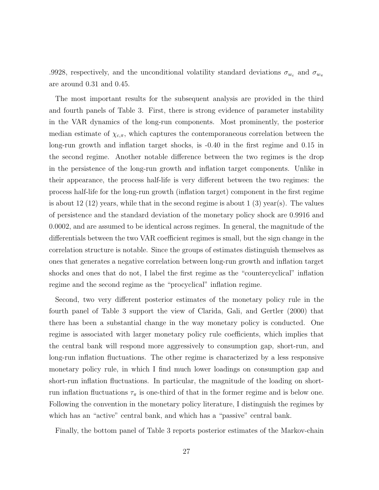.9928, respectively, and the unconditional volatility standard deviations  $\sigma_{w_c}$  and  $\sigma_{w_{\pi}}$ are around 0.31 and 0.45.

The most important results for the subsequent analysis are provided in the third and fourth panels of Table 3. First, there is strong evidence of parameter instability in the VAR dynamics of the long-run components. Most prominently, the posterior median estimate of  $\chi_{c,\pi}$ , which captures the contemporaneous correlation between the long-run growth and inflation target shocks, is -0.40 in the first regime and 0.15 in the second regime. Another notable difference between the two regimes is the drop in the persistence of the long-run growth and inflation target components. Unlike in their appearance, the process half-life is very different between the two regimes: the process half-life for the long-run growth (inflation target) component in the first regime is about 12 (12) years, while that in the second regime is about 1 (3) year(s). The values of persistence and the standard deviation of the monetary policy shock are 0.9916 and 0.0002, and are assumed to be identical across regimes. In general, the magnitude of the differentials between the two VAR coefficient regimes is small, but the sign change in the correlation structure is notable. Since the groups of estimates distinguish themselves as ones that generates a negative correlation between long-run growth and inflation target shocks and ones that do not, I label the first regime as the "countercyclical" inflation regime and the second regime as the "procyclical" inflation regime.

Second, two very different posterior estimates of the monetary policy rule in the fourth panel of Table 3 support the view of Clarida, Gali, and Gertler (2000) that there has been a substantial change in the way monetary policy is conducted. One regime is associated with larger monetary policy rule coefficients, which implies that the central bank will respond more aggressively to consumption gap, short-run, and long-run inflation fluctuations. The other regime is characterized by a less responsive monetary policy rule, in which I find much lower loadings on consumption gap and short-run inflation fluctuations. In particular, the magnitude of the loading on shortrun inflation fluctuations  $\tau_{\pi}$  is one-third of that in the former regime and is below one. Following the convention in the monetary policy literature, I distinguish the regimes by which has an "active" central bank, and which has a "passive" central bank.

Finally, the bottom panel of Table 3 reports posterior estimates of the Markov-chain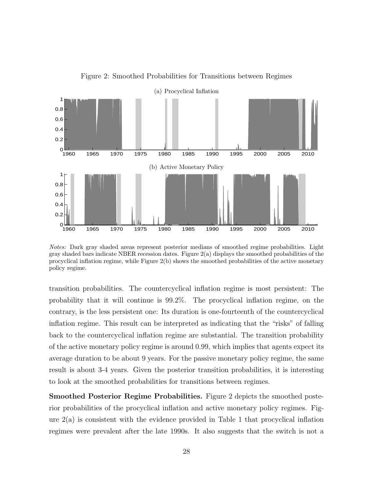

Figure 2: Smoothed Probabilities for Transitions between Regimes

Notes: Dark gray shaded areas represent posterior medians of smoothed regime probabilities. Light gray shaded bars indicate NBER recession dates. Figure 2(a) displays the smoothed probabilities of the procyclical inflation regime, while Figure 2(b) shows the smoothed probabilities of the active monetary policy regime.

transition probabilities. The countercyclical inflation regime is most persistent: The probability that it will continue is 99.2%. The procyclical inflation regime, on the contrary, is the less persistent one: Its duration is one-fourteenth of the countercyclical inflation regime. This result can be interpreted as indicating that the "risks" of falling back to the countercyclical inflation regime are substantial. The transition probability of the active monetary policy regime is around 0.99, which implies that agents expect its average duration to be about 9 years. For the passive monetary policy regime, the same result is about 3-4 years. Given the posterior transition probabilities, it is interesting to look at the smoothed probabilities for transitions between regimes.

Smoothed Posterior Regime Probabilities. Figure 2 depicts the smoothed posterior probabilities of the procyclical inflation and active monetary policy regimes. Figure  $2(a)$  is consistent with the evidence provided in Table 1 that procyclical inflation regimes were prevalent after the late 1990s. It also suggests that the switch is not a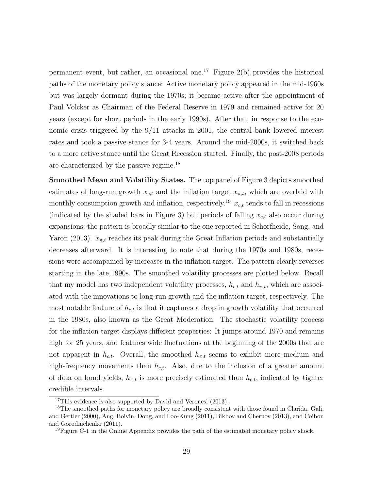permanent event, but rather, an occasional one.<sup>17</sup> Figure 2(b) provides the historical paths of the monetary policy stance: Active monetary policy appeared in the mid-1960s but was largely dormant during the 1970s; it became active after the appointment of Paul Volcker as Chairman of the Federal Reserve in 1979 and remained active for 20 years (except for short periods in the early 1990s). After that, in response to the economic crisis triggered by the 9/11 attacks in 2001, the central bank lowered interest rates and took a passive stance for 3-4 years. Around the mid-2000s, it switched back to a more active stance until the Great Recession started. Finally, the post-2008 periods are characterized by the passive regime.<sup>18</sup>

Smoothed Mean and Volatility States. The top panel of Figure 3 depicts smoothed estimates of long-run growth  $x_{c,t}$  and the inflation target  $x_{\pi,t}$ , which are overlaid with monthly consumption growth and inflation, respectively.<sup>19</sup>  $x_{c,t}$  tends to fall in recessions (indicated by the shaded bars in Figure 3) but periods of falling  $x_{c,t}$  also occur during expansions; the pattern is broadly similar to the one reported in Schorfheide, Song, and Yaron (2013).  $x_{\pi,t}$  reaches its peak during the Great Inflation periods and substantially decreases afterward. It is interesting to note that during the 1970s and 1980s, recessions were accompanied by increases in the inflation target. The pattern clearly reverses starting in the late 1990s. The smoothed volatility processes are plotted below. Recall that my model has two independent volatility processes,  $h_{c,t}$  and  $h_{\pi,t}$ , which are associated with the innovations to long-run growth and the inflation target, respectively. The most notable feature of  $h_{c,t}$  is that it captures a drop in growth volatility that occurred in the 1980s, also known as the Great Moderation. The stochastic volatility process for the inflation target displays different properties: It jumps around 1970 and remains high for 25 years, and features wide fluctuations at the beginning of the 2000s that are not apparent in  $h_{c,t}$ . Overall, the smoothed  $h_{\pi,t}$  seems to exhibit more medium and high-frequency movements than  $h_{c,t}$ . Also, due to the inclusion of a greater amount of data on bond yields,  $h_{\pi,t}$  is more precisely estimated than  $h_{c,t}$ , indicated by tighter credible intervals.

<sup>&</sup>lt;sup>17</sup>This evidence is also supported by David and Veronesi (2013).

<sup>&</sup>lt;sup>18</sup>The smoothed paths for monetary policy are broadly consistent with those found in Clarida, Gali, and Gertler (2000), Ang, Boivin, Dong, and Loo-Kung (2011), Bikbov and Chernov (2013), and Coibon and Gorodnichenko (2011).

<sup>&</sup>lt;sup>19</sup>Figure C-1 in the Online Appendix provides the path of the estimated monetary policy shock.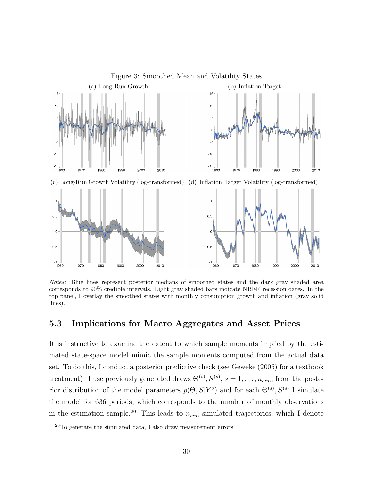

(c) Long-Run Growth Volatility (log-transformed) (d) Inflation Target Volatility (log-transformed)



Notes: Blue lines represent posterior medians of smoothed states and the dark gray shaded area corresponds to 90% credible intervals. Light gray shaded bars indicate NBER recession dates. In the top panel, I overlay the smoothed states with monthly consumption growth and inflation (gray solid lines).

#### 5.3 Implications for Macro Aggregates and Asset Prices

It is instructive to examine the extent to which sample moments implied by the estimated state-space model mimic the sample moments computed from the actual data set. To do this, I conduct a posterior predictive check (see Geweke (2005) for a textbook treatment). I use previously generated draws  $\Theta^{(s)}, S^{(s)}, s = 1, \ldots, n_{sim}$ , from the posterior distribution of the model parameters  $p(\Theta, S|Y^o)$  and for each  $\Theta^{(s)}, S^{(s)}$  I simulate the model for 636 periods, which corresponds to the number of monthly observations in the estimation sample.<sup>20</sup> This leads to  $n_{sim}$  simulated trajectories, which I denote

<sup>20</sup>To generate the simulated data, I also draw measurement errors.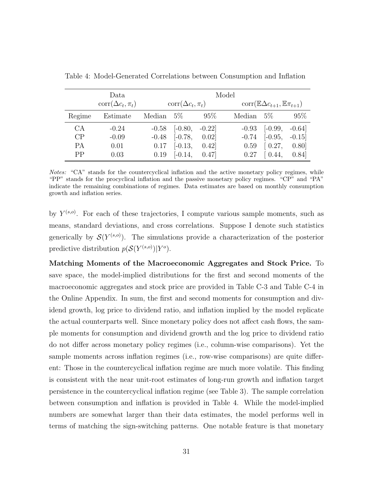|           | Data                             |              | Model                            |         |              |                                                       |         |  |  |  |  |
|-----------|----------------------------------|--------------|----------------------------------|---------|--------------|-------------------------------------------------------|---------|--|--|--|--|
|           | $\text{corr}(\Delta c_t, \pi_t)$ |              | $\text{corr}(\Delta c_t, \pi_t)$ |         |              | $corr(\mathbb{E}\Delta c_{t+1}, \mathbb{E}\pi_{t+1})$ |         |  |  |  |  |
| Regime    | Estimate                         | Median $5\%$ |                                  | 95%     | Median $5\%$ |                                                       | 95%     |  |  |  |  |
| CА        | $-0.24$                          | $-0.58$      | $[-0.80,$                        | $-0.22$ | $-0.93$      | $[-0.99,$                                             | $-0.64$ |  |  |  |  |
| CP        | $-0.09$                          | $-0.48$      | $[-0.78,$                        | 0.02    | $-0.74$      | $[-0.95,$                                             | $-0.15$ |  |  |  |  |
| <b>PA</b> | 0.01                             | 0.17         | $[-0.13,$                        | 0.42    | 0.59         | $\left[0.27, \right]$                                 | 0.80    |  |  |  |  |
| PP        | 0.03                             | 0.19         | $[-0.14,$                        | 0.47    | 0.27         | $\left[0.44, \right]$                                 | 0.84    |  |  |  |  |

Table 4: Model-Generated Correlations between Consumption and Inflation

Notes: "CA" stands for the countercyclical inflation and the active monetary policy regimes, while "PP" stands for the procyclical inflation and the passive monetary policy regimes. "CP" and "PA" indicate the remaining combinations of regimes. Data estimates are based on monthly consumption growth and inflation series.

by  $Y^{(s,o)}$ . For each of these trajectories, I compute various sample moments, such as means, standard deviations, and cross correlations. Suppose I denote such statistics generically by  $\mathcal{S}(Y^{(s,o)})$ . The simulations provide a characterization of the posterior predictive distribution  $p(\mathcal{S}(Y^{(s,o)})|Y^o)$ .

Matching Moments of the Macroeconomic Aggregates and Stock Price. To save space, the model-implied distributions for the first and second moments of the macroeconomic aggregates and stock price are provided in Table C-3 and Table C-4 in the Online Appendix. In sum, the first and second moments for consumption and dividend growth, log price to dividend ratio, and inflation implied by the model replicate the actual counterparts well. Since monetary policy does not affect cash flows, the sample moments for consumption and dividend growth and the log price to dividend ratio do not differ across monetary policy regimes (i.e., column-wise comparisons). Yet the sample moments across inflation regimes (i.e., row-wise comparisons) are quite different: Those in the countercyclical inflation regime are much more volatile. This finding is consistent with the near unit-root estimates of long-run growth and inflation target persistence in the countercyclical inflation regime (see Table 3). The sample correlation between consumption and inflation is provided in Table 4. While the model-implied numbers are somewhat larger than their data estimates, the model performs well in terms of matching the sign-switching patterns. One notable feature is that monetary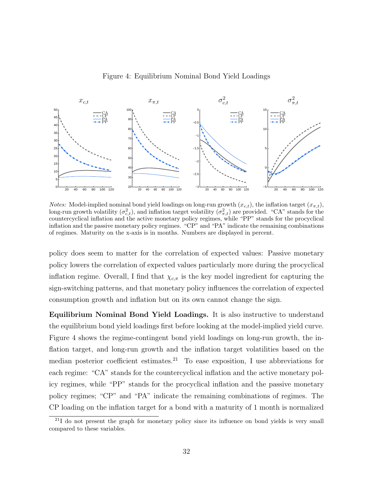#### Figure 4: Equilibrium Nominal Bond Yield Loadings



*Notes:* Model-implied nominal bond yield loadings on long-run growth  $(x_{c,t})$ , the inflation target  $(x_{\pi,t})$ , long-run growth volatility  $(\sigma_{c,t}^2)$ , and inflation target volatility  $(\sigma_{\pi,t}^2)$  are provided. "CA" stands for the countercyclical inflation and the active monetary policy regimes, while "PP" stands for the procyclical inflation and the passive monetary policy regimes. "CP" and "PA" indicate the remaining combinations of regimes. Maturity on the x-axis is in months. Numbers are displayed in percent.

policy does seem to matter for the correlation of expected values: Passive monetary policy lowers the correlation of expected values particularly more during the procyclical inflation regime. Overall, I find that  $\chi_{c,\pi}$  is the key model ingredient for capturing the sign-switching patterns, and that monetary policy influences the correlation of expected consumption growth and inflation but on its own cannot change the sign.

Equilibrium Nominal Bond Yield Loadings. It is also instructive to understand the equilibrium bond yield loadings first before looking at the model-implied yield curve. Figure 4 shows the regime-contingent bond yield loadings on long-run growth, the inflation target, and long-run growth and the inflation target volatilities based on the median posterior coefficient estimates.<sup>21</sup> To ease exposition, I use abbreviations for each regime: "CA" stands for the countercyclical inflation and the active monetary policy regimes, while "PP" stands for the procyclical inflation and the passive monetary policy regimes; "CP" and "PA" indicate the remaining combinations of regimes. The CP loading on the inflation target for a bond with a maturity of 1 month is normalized

 $^{21}I$  do not present the graph for monetary policy since its influence on bond yields is very small compared to these variables.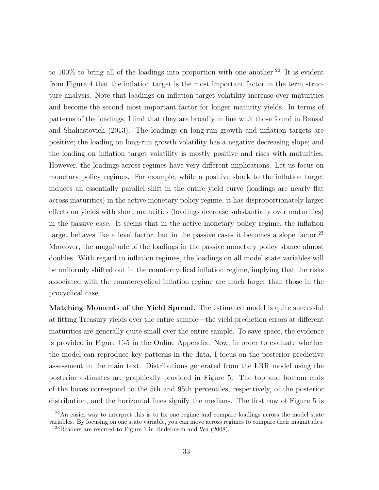to 100% to bring all of the loadings into proportion with one another.<sup>22</sup> It is evident from Figure 4 that the inflation target is the most important factor in the term structure analysis. Note that loadings on inflation target volatility increase over maturities and become the second most important factor for longer maturity yields. In terms of patterns of the loadings, I find that they are broadly in line with those found in Bansal and Shaliastovich (2013). The loadings on long-run growth and inflation targets are positive; the loading on long-run growth volatility has a negative decreasing slope; and the loading on inflation target volatility is mostly positive and rises with maturities. However, the loadings across regimes have very different implications. Let us focus on monetary policy regimes. For example, while a positive shock to the inflation target induces an essentially parallel shift in the entire yield curve (loadings are nearly flat across maturities) in the active monetary policy regime, it has disproportionately larger effects on yields with short maturities (loadings decrease substantially over maturities) in the passive case. It seems that in the active monetary policy regime, the inflation target behaves like a level factor, but in the passive cases it becomes a slope factor.<sup>23</sup> Moreover, the magnitude of the loadings in the passive monetary policy stance almost doubles. With regard to inflation regimes, the loadings on all model state variables will be uniformly shifted out in the countercyclical inflation regime, implying that the risks associated with the countercyclical inflation regime are much larger than those in the procyclical case.

Matching Moments of the Yield Spread. The estimated model is quite successful at fitting Treasury yields over the entire sample—the yield prediction errors at different maturities are generally quite small over the entire sample. To save space, the evidence is provided in Figure C-5 in the Online Appendix. Now, in order to evaluate whether the model can reproduce key patterns in the data, I focus on the posterior predictive assessment in the main text. Distributions generated from the LRR model using the posterior estimates are graphically provided in Figure 5. The top and bottom ends of the boxes correspond to the 5th and 95th percentiles, respectively, of the posterior distribution, and the horizontal lines signify the medians. The first row of Figure 5 is

 $22$ An easier way to interpret this is to fix one regime and compare loadings across the model state variables. By focusing on one state variable, you can move across regimes to compare their magnitudes.

<sup>23</sup>Readers are referred to Figure 1 in Rudebusch and Wu (2008).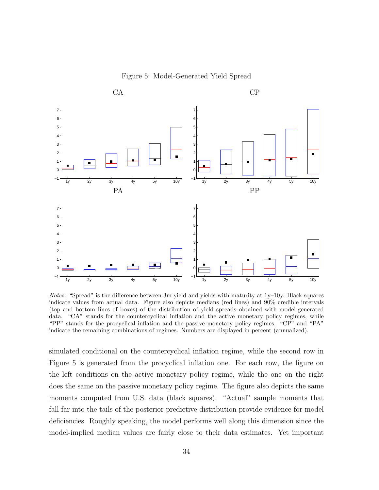

Figure 5: Model-Generated Yield Spread

*Notes:* "Spread" is the difference between 3m yield and yields with maturity at  $1y-10y$ . Black squares indicate values from actual data. Figure also depicts medians (red lines) and 90% credible intervals (top and bottom lines of boxes) of the distribution of yield spreads obtained with model-generated data. "CA" stands for the countercyclical inflation and the active monetary policy regimes, while "PP" stands for the procyclical inflation and the passive monetary policy regimes. "CP" and "PA" indicate the remaining combinations of regimes. Numbers are displayed in percent (annualized).

simulated conditional on the countercyclical inflation regime, while the second row in Figure 5 is generated from the procyclical inflation one. For each row, the figure on the left conditions on the active monetary policy regime, while the one on the right does the same on the passive monetary policy regime. The figure also depicts the same moments computed from U.S. data (black squares). "Actual" sample moments that fall far into the tails of the posterior predictive distribution provide evidence for model deficiencies. Roughly speaking, the model performs well along this dimension since the model-implied median values are fairly close to their data estimates. Yet important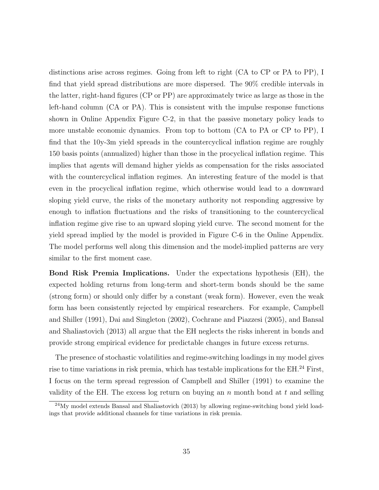distinctions arise across regimes. Going from left to right (CA to CP or PA to PP), I find that yield spread distributions are more dispersed. The 90% credible intervals in the latter, right-hand figures (CP or PP) are approximately twice as large as those in the left-hand column (CA or PA). This is consistent with the impulse response functions shown in Online Appendix Figure C-2, in that the passive monetary policy leads to more unstable economic dynamics. From top to bottom (CA to PA or CP to PP), I find that the 10y-3m yield spreads in the countercyclical inflation regime are roughly 150 basis points (annualized) higher than those in the procyclical inflation regime. This implies that agents will demand higher yields as compensation for the risks associated with the countercyclical inflation regimes. An interesting feature of the model is that even in the procyclical inflation regime, which otherwise would lead to a downward sloping yield curve, the risks of the monetary authority not responding aggressive by enough to inflation fluctuations and the risks of transitioning to the countercyclical inflation regime give rise to an upward sloping yield curve. The second moment for the yield spread implied by the model is provided in Figure C-6 in the Online Appendix. The model performs well along this dimension and the model-implied patterns are very similar to the first moment case.

Bond Risk Premia Implications. Under the expectations hypothesis (EH), the expected holding returns from long-term and short-term bonds should be the same (strong form) or should only differ by a constant (weak form). However, even the weak form has been consistently rejected by empirical researchers. For example, Campbell and Shiller (1991), Dai and Singleton (2002), Cochrane and Piazzesi (2005), and Bansal and Shaliastovich (2013) all argue that the EH neglects the risks inherent in bonds and provide strong empirical evidence for predictable changes in future excess returns.

The presence of stochastic volatilities and regime-switching loadings in my model gives rise to time variations in risk premia, which has testable implications for the EH.<sup>24</sup> First, I focus on the term spread regression of Campbell and Shiller (1991) to examine the validity of the EH. The excess log return on buying an  $n$  month bond at  $t$  and selling

 $^{24}$ My model extends Bansal and Shaliastovich (2013) by allowing regime-switching bond yield loadings that provide additional channels for time variations in risk premia.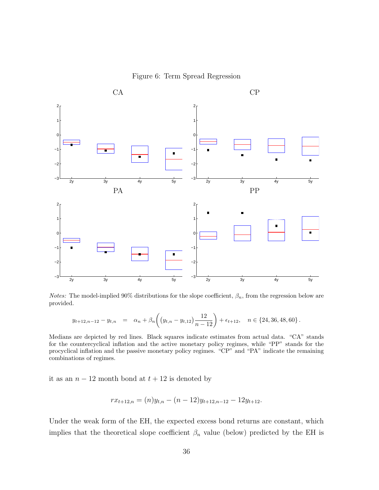Figure 6: Term Spread Regression



*Notes:* The model-implied 90% distributions for the slope coefficient,  $\beta_n$ , from the regression below are provided.

$$
y_{t+12,n-12} - y_{t,n} = \alpha_n + \beta_n \left( \left( y_{t,n} - y_{t,12} \right) \frac{12}{n-12} \right) + \epsilon_{t+12}, \quad n \in \{24, 36, 48, 60\}.
$$

Medians are depicted by red lines. Black squares indicate estimates from actual data. "CA" stands for the countercyclical inflation and the active monetary policy regimes, while "PP" stands for the procyclical inflation and the passive monetary policy regimes. "CP" and "PA" indicate the remaining combinations of regimes.

it as an  $n - 12$  month bond at  $t + 12$  is denoted by

$$
rx_{t+12,n} = (n)y_{t,n} - (n-12)y_{t+12,n-12} - 12y_{t+12}.
$$

Under the weak form of the EH, the expected excess bond returns are constant, which implies that the theoretical slope coefficient  $\beta_n$  value (below) predicted by the EH is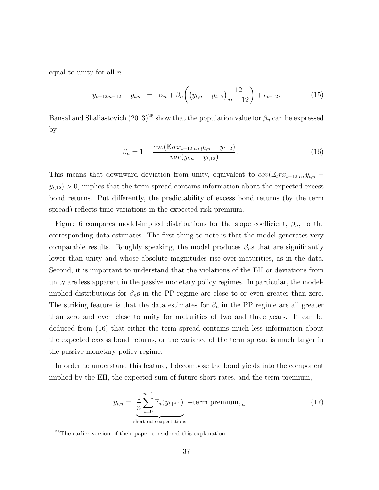equal to unity for all  $n$ 

$$
y_{t+12,n-12} - y_{t,n} = \alpha_n + \beta_n \left( \left( y_{t,n} - y_{t,12} \right) \frac{12}{n-12} \right) + \epsilon_{t+12}.
$$
 (15)

Bansal and Shaliastovich (2013)<sup>25</sup> show that the population value for  $\beta_n$  can be expressed by

$$
\beta_n = 1 - \frac{cov(\mathbb{E}_t r x_{t+12,n}, y_{t,n} - y_{t,12})}{var(y_{t,n} - y_{t,12})}.
$$
\n(16)

This means that downward deviation from unity, equivalent to  $cov(\mathbb{E}_{t}rx_{t+12,n}, y_{t,n}$  $y_{t,12}$  > 0, implies that the term spread contains information about the expected excess bond returns. Put differently, the predictability of excess bond returns (by the term spread) reflects time variations in the expected risk premium.

Figure 6 compares model-implied distributions for the slope coefficient,  $\beta_n$ , to the corresponding data estimates. The first thing to note is that the model generates very comparable results. Roughly speaking, the model produces  $\beta_n$ s that are significantly lower than unity and whose absolute magnitudes rise over maturities, as in the data. Second, it is important to understand that the violations of the EH or deviations from unity are less apparent in the passive monetary policy regimes. In particular, the modelimplied distributions for  $\beta_n$ s in the PP regime are close to or even greater than zero. The striking feature is that the data estimates for  $\beta_n$  in the PP regime are all greater than zero and even close to unity for maturities of two and three years. It can be deduced from (16) that either the term spread contains much less information about the expected excess bond returns, or the variance of the term spread is much larger in the passive monetary policy regime.

In order to understand this feature, I decompose the bond yields into the component implied by the EH, the expected sum of future short rates, and the term premium,

$$
y_{t,n} = \frac{1}{n} \sum_{i=0}^{n-1} \mathbb{E}_t(y_{t+i,1}) + \text{term premium}_{t,n}.
$$
 (17)  
short-rate expectations

<sup>25</sup>The earlier version of their paper considered this explanation.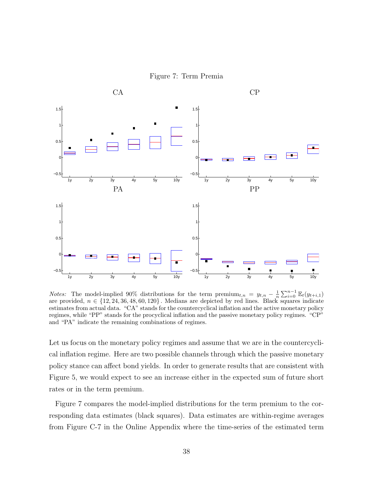Figure 7: Term Premia



*Notes:* The model-implied 90% distributions for the term premium<sub>t,n</sub> =  $y_{t,n} - \frac{1}{n} \sum_{i=0}^{n-1} \mathbb{E}_t(y_{t+i,1})$ are provided,  $n \in \{12, 24, 36, 48, 60, 120\}$ . Medians are depicted by red lines. Black squares indicate estimates from actual data. "CA" stands for the countercyclical inflation and the active monetary policy regimes, while "PP" stands for the procyclical inflation and the passive monetary policy regimes. "CP" and "PA" indicate the remaining combinations of regimes.

Let us focus on the monetary policy regimes and assume that we are in the countercyclical inflation regime. Here are two possible channels through which the passive monetary policy stance can affect bond yields. In order to generate results that are consistent with Figure 5, we would expect to see an increase either in the expected sum of future short rates or in the term premium.

Figure 7 compares the model-implied distributions for the term premium to the corresponding data estimates (black squares). Data estimates are within-regime averages from Figure C-7 in the Online Appendix where the time-series of the estimated term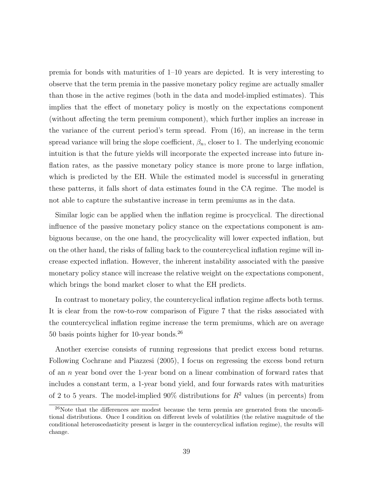premia for bonds with maturities of 1–10 years are depicted. It is very interesting to observe that the term premia in the passive monetary policy regime are actually smaller than those in the active regimes (both in the data and model-implied estimates). This implies that the effect of monetary policy is mostly on the expectations component (without affecting the term premium component), which further implies an increase in the variance of the current period's term spread. From (16), an increase in the term spread variance will bring the slope coefficient,  $\beta_n$ , closer to 1. The underlying economic intuition is that the future yields will incorporate the expected increase into future inflation rates, as the passive monetary policy stance is more prone to large inflation, which is predicted by the EH. While the estimated model is successful in generating these patterns, it falls short of data estimates found in the CA regime. The model is not able to capture the substantive increase in term premiums as in the data.

Similar logic can be applied when the inflation regime is procyclical. The directional influence of the passive monetary policy stance on the expectations component is ambiguous because, on the one hand, the procyclicality will lower expected inflation, but on the other hand, the risks of falling back to the countercyclical inflation regime will increase expected inflation. However, the inherent instability associated with the passive monetary policy stance will increase the relative weight on the expectations component, which brings the bond market closer to what the EH predicts.

In contrast to monetary policy, the countercyclical inflation regime affects both terms. It is clear from the row-to-row comparison of Figure 7 that the risks associated with the countercyclical inflation regime increase the term premiums, which are on average 50 basis points higher for 10-year bonds.<sup>26</sup>

Another exercise consists of running regressions that predict excess bond returns. Following Cochrane and Piazzesi (2005), I focus on regressing the excess bond return of an  $n$  year bond over the 1-year bond on a linear combination of forward rates that includes a constant term, a 1-year bond yield, and four forwards rates with maturities of 2 to 5 years. The model-implied  $90\%$  distributions for  $R^2$  values (in percents) from

<sup>&</sup>lt;sup>26</sup>Note that the differences are modest because the term premia are generated from the unconditional distributions. Once I condition on different levels of volatilities (the relative magnitude of the conditional heteroscedasticity present is larger in the countercyclical inflation regime), the results will change.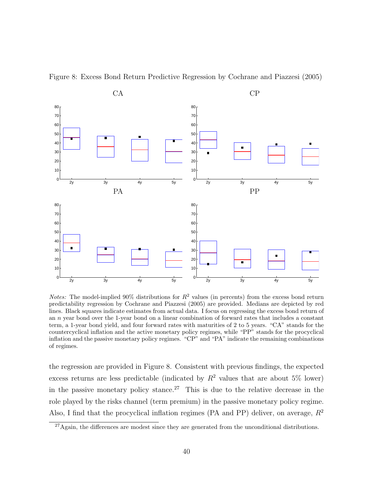

Figure 8: Excess Bond Return Predictive Regression by Cochrane and Piazzesi (2005)

*Notes:* The model-implied 90% distributions for  $R^2$  values (in percents) from the excess bond return predictability regression by Cochrane and Piazzesi (2005) are provided. Medians are depicted by red lines. Black squares indicate estimates from actual data. I focus on regressing the excess bond return of an n year bond over the 1-year bond on a linear combination of forward rates that includes a constant term, a 1-year bond yield, and four forward rates with maturities of 2 to 5 years. "CA" stands for the countercyclical inflation and the active monetary policy regimes, while "PP" stands for the procyclical inflation and the passive monetary policy regimes. "CP" and "PA" indicate the remaining combinations of regimes.

the regression are provided in Figure 8. Consistent with previous findings, the expected excess returns are less predictable (indicated by  $R^2$  values that are about 5% lower) in the passive monetary policy stance.<sup>27</sup> This is due to the relative decrease in the role played by the risks channel (term premium) in the passive monetary policy regime. Also, I find that the procyclical inflation regimes (PA and PP) deliver, on average,  $R^2$ 

Again, the differences are modest since they are generated from the unconditional distributions.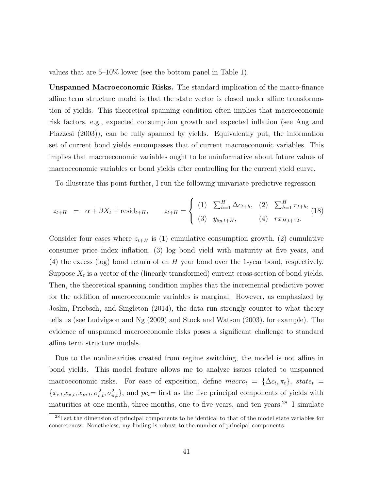values that are 5–10% lower (see the bottom panel in Table 1).

Unspanned Macroeconomic Risks. The standard implication of the macro-finance affine term structure model is that the state vector is closed under affine transformation of yields. This theoretical spanning condition often implies that macroeconomic risk factors, e.g., expected consumption growth and expected inflation (see Ang and Piazzesi (2003)), can be fully spanned by yields. Equivalently put, the information set of current bond yields encompasses that of current macroeconomic variables. This implies that macroeconomic variables ought to be uninformative about future values of macroeconomic variables or bond yields after controlling for the current yield curve.

To illustrate this point further, I run the following univariate predictive regression

$$
z_{t+H} = \alpha + \beta X_t + \text{resid}_{t+H}, \qquad z_{t+H} = \begin{cases} (1) & \sum_{h=1}^{H} \Delta c_{t+h}, (2) & \sum_{h=1}^{H} \pi_{t+h}, \\ (3) & y_{5y,t+H}, (4) & rx_{H,t+12}. \end{cases} \tag{18}
$$

Consider four cases where  $z_{t+H}$  is (1) cumulative consumption growth, (2) cumulative consumer price index inflation, (3) log bond yield with maturity at five years, and  $(4)$  the excess (log) bond return of an H year bond over the 1-year bond, respectively. Suppose  $X_t$  is a vector of the (linearly transformed) current cross-section of bond yields. Then, the theoretical spanning condition implies that the incremental predictive power for the addition of macroeconomic variables is marginal. However, as emphasized by Joslin, Priebsch, and Singleton (2014), the data run strongly counter to what theory tells us (see Ludvigson and Ng (2009) and Stock and Watson (2003), for example). The evidence of unspanned macroeconomic risks poses a significant challenge to standard affine term structure models.

Due to the nonlinearities created from regime switching, the model is not affine in bond yields. This model feature allows me to analyze issues related to unspanned macroeconomic risks. For ease of exposition, define  $macro_t = {\Delta c_t, \pi_t}, state_t =$  $\{x_{c,t}, x_{\pi,t}, x_{m,t}, \sigma_{c,t}^2, \sigma_{\pi,t}^2\}$ , and  $pc_t=$  first as the five principal components of yields with maturities at one month, three months, one to five years, and ten years.<sup>28</sup> I simulate

 $^{28}$ I set the dimension of principal components to be identical to that of the model state variables for concreteness. Nonetheless, my finding is robust to the number of principal components.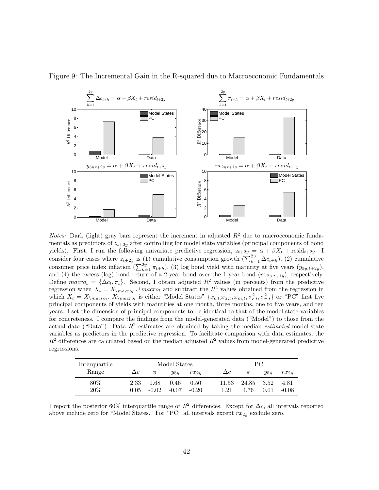

Figure 9: The Incremental Gain in the R-squared due to Macroeconomic Fundamentals

*Notes:* Dark (light) gray bars represent the increment in adjusted  $R^2$  due to macroeconomic fundamentals as predictors of  $z_{t+2y}$  after controlling for model state variables (principal components of bond yields). First, I run the following univariate predictive regression,  $z_{t+2y} = \alpha + \beta X_t + \text{resid}_{t+2y}$ . I consider four cases where  $z_{t+2y}$  is (1) cumulative consumption growth  $(\sum_{h=1}^{2y} \Delta c_{t+h})$ , (2) cumulative consumer price index inflation  $(\sum_{h=1}^{2y} \pi_{t+h})$ , (3) log bond yield with maturity at five years  $(y_{5y,t+2y})$ , and (4) the excess (log) bond return of a 2-year bond over the 1-year bond  $(rx_{2y,t+1y})$ , respectively. Define  $macro_t = {\Delta c_t, \pi_t}$ . Second, I obtain adjusted  $R^2$  values (in percents) from the predictive regression when  $X_t = X\setminus max_t \cup max_t$  and subtract the  $R^2$  values obtained from the regression in which  $X_t = X_{\setminus macro_t}$ .  $X_{\setminus macro_t}$  is either "Model States"  $\{x_{c,t}, x_{\pi,t}, x_{m,t}, \sigma_{c,t}^2, \sigma_{\pi,t}^2\}$  or "PC" first five principal components of yields with maturities at one month, three months, one to five years, and ten years. I set the dimension of principal components to be identical to that of the model state variables for concreteness. I compare the findings from the model-generated data ("Model") to those from the actual data ("Data"). Data  $R^2$  estimates are obtained by taking the median *estimated* model state variables as predictors in the predictive regression. To facilitate comparison with data estimates, the  $R^2$  differences are calculated based on the median adjusted  $R^2$  values from model-generated predictive regressions.

| Interquartile |            |         | Model States |           |            | PС    |          |           |  |  |
|---------------|------------|---------|--------------|-----------|------------|-------|----------|-----------|--|--|
| Range         | $\Delta c$ | $\pi$   | $y_{5y}$     | $rx_{2u}$ | $\Delta c$ | $\pi$ | $y_{5y}$ | $rx_{2y}$ |  |  |
| 80\%          | 2.33       | 0.68    | 0.46         | 0.50      | 11.53      | 24.85 | 3.52     | 4.81      |  |  |
| 20%           | 0.05       | $-0.02$ | $-0.07$      | $-0.20$   | 1.21       | 4.76  | 0.01     | $-0.08$   |  |  |

I report the posterior 60% interquartile range of  $R^2$  differences. Except for  $\Delta c$ , all intervals reported above include zero for "Model States." For "PC" all intervals except  $rx_{2y}$  exclude zero.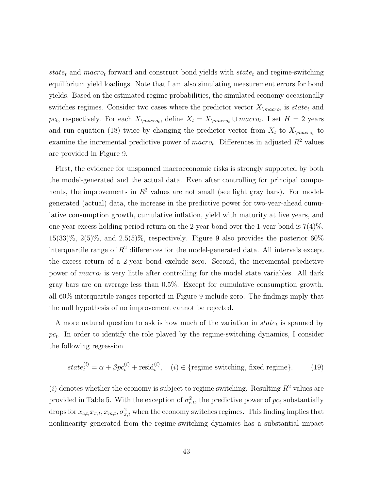$state_t$  and  $macro_t$  forward and construct bond yields with  $state_t$  and regime-switching equilibrium yield loadings. Note that I am also simulating measurement errors for bond yields. Based on the estimated regime probabilities, the simulated economy occasionally switches regimes. Consider two cases where the predictor vector  $X_{\setminus macro_t}$  is  $state_t$  and pc<sub>t</sub>, respectively. For each  $X_{\setminus macro_t}$ , define  $X_t = X_{\setminus macro_t} \cup macro_t$ . I set  $H = 2$  years and run equation (18) twice by changing the predictor vector from  $X_t$  to  $X_{\backslash macro_t}$  to examine the incremental predictive power of  $macro_t$ . Differences in adjusted  $R^2$  values are provided in Figure 9.

First, the evidence for unspanned macroeconomic risks is strongly supported by both the model-generated and the actual data. Even after controlling for principal components, the improvements in  $R^2$  values are not small (see light gray bars). For modelgenerated (actual) data, the increase in the predictive power for two-year-ahead cumulative consumption growth, cumulative inflation, yield with maturity at five years, and one-year excess holding period return on the 2-year bond over the 1-year bond is 7(4)%,  $15(33)\%$ ,  $2(5)\%$ , and  $2.5(5)\%$ , respectively. Figure 9 also provides the posterior 60% interquartile range of  $R^2$  differences for the model-generated data. All intervals except the excess return of a 2-year bond exclude zero. Second, the incremental predictive power of  $macro_t$  is very little after controlling for the model state variables. All dark gray bars are on average less than 0.5%. Except for cumulative consumption growth, all 60% interquartile ranges reported in Figure 9 include zero. The findings imply that the null hypothesis of no improvement cannot be rejected.

A more natural question to ask is how much of the variation in  $state_t$  is spanned by  $pc<sub>t</sub>$ . In order to identify the role played by the regime-switching dynamics, I consider the following regression

$$
state_t^{(i)} = \alpha + \beta pe_t^{(i)} + \text{resid}_t^{(i)}, \quad (i) \in \{\text{regime switching, fixed regime}\}. \tag{19}
$$

(i) denotes whether the economy is subject to regime switching. Resulting  $R^2$  values are provided in Table 5. With the exception of  $\sigma_{c,t}^2$ , the predictive power of  $pc_t$  substantially drops for  $x_{c,t}, x_{\pi,t}, x_{m,t}, \sigma_{\pi,t}^2$  when the economy switches regimes. This finding implies that nonlinearity generated from the regime-switching dynamics has a substantial impact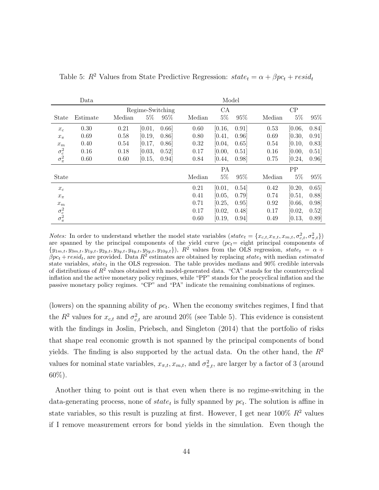|                                   | Data     |        |                  |      |        | Model     |      |        |        |       |
|-----------------------------------|----------|--------|------------------|------|--------|-----------|------|--------|--------|-------|
|                                   |          |        | Regime-Switching |      |        | CA        |      |        | CP     |       |
| State                             | Estimate | Median | $5\%$            | 95%  | Median | $5\%$     | 95%  | Median | $5\%$  | 95%   |
| $x_c$                             | 0.30     | 0.21   | [0.01,           | 0.66 | 0.60   | [0.16,    | 0.91 | 0.53   | [0.06, | 0.84] |
| $x_{\pi}$                         | 0.69     | 0.58   | [0.19,           | 0.86 | 0.80   | [0.41,    | 0.96 | 0.69   | [0.30, | 0.91] |
| $\boldsymbol{x}_{m}$              | 0.40     | 0.54   | [0.17,           | 0.86 | 0.32   | [0.04,    | 0.65 | 0.54   | [0.10, | 0.83  |
|                                   | 0.16     | 0.18   | [0.03,           | 0.52 | 0.17   | [0.00,    | 0.51 | 0.16   | [0.00, | 0.51] |
| $\sigma_c^2$<br>$\sigma_{\pi}^2$  | 0.60     | 0.60   | [0.15,           | 0.94 | 0.84   | [0.44,    | 0.98 | 0.75   | [0.24, | 0.96  |
|                                   |          |        |                  |      |        | <b>PA</b> |      |        | PP     |       |
| <b>State</b>                      |          |        |                  |      | Median | $5\%$     | 95%  | Median | $5\%$  | 95%   |
| $x_c$                             |          |        |                  |      | 0.21   | [0.01,    | 0.54 | 0.42   | [0.20, | 0.65  |
| $x_{\pi}$                         |          |        |                  |      | 0.41   | [0.05,    | 0.79 | 0.74   | [0.51, | 0.88  |
| $x_m$                             |          |        |                  |      | 0.71   | [0.25,    | 0.95 | 0.92   | [0.66, | 0.98  |
|                                   |          |        |                  |      | 0.17   | [0.02,    | 0.48 | 0.17   | [0.02, | 0.52  |
| $\sigma_c^2 \over \sigma_{\pi}^2$ |          |        |                  |      | 0.60   | 0.19,     | 0.94 | 0.49   | [0.13, | 0.89  |

Table 5:  $R^2$  Values from State Predictive Regression:  $state_t = \alpha + \beta pc_t + resid_t$ 

*Notes:* In order to understand whether the model state variables  $(state_t = {x_{c,t}, x_{\pi,t}, x_{m,t}, \sigma_{c,t}^2, \sigma_{\pi,t}^2})$ are spanned by the principal components of the yield curve  $(pc_t =$  eight principal components of  ${y_{1m,t}, y_{3m,t}, y_{1y,t}, y_{2y,t}, y_{3y,t}, y_{4y,t}, y_{5y,t}, y_{10y,t}}$ ,  $R^2$  values from the OLS regression, state<sub>t</sub> =  $\alpha$  +  $\beta p c_t + r e s i d_t$ , are provided. Data  $R^2$  estimates are obtained by replacing state<sub>t</sub> with median estimated state variables,  $\hat{state}_t$  in the OLS regression. The table provides medians and 90% credible intervals of distributions of  $R^2$  values obtained with model-generated data. "CA" stands for the countercyclical inflation and the active monetary policy regimes, while "PP" stands for the procyclical inflation and the passive monetary policy regimes. "CP" and "PA" indicate the remaining combinations of regimes.

(lowers) on the spanning ability of  $pc<sub>t</sub>$ . When the economy switches regimes, I find that the  $R^2$  values for  $x_{c,t}$  and  $\sigma_{c,t}^2$  are around 20% (see Table 5). This evidence is consistent with the findings in Joslin, Priebsch, and Singleton (2014) that the portfolio of risks that shape real economic growth is not spanned by the principal components of bond yields. The finding is also supported by the actual data. On the other hand, the  $R^2$ values for nominal state variables,  $x_{\pi,t}$ ,  $x_{m,t}$ , and  $\sigma_{\pi,t}^2$ , are larger by a factor of 3 (around 60%).

Another thing to point out is that even when there is no regime-switching in the data-generating process, none of  $state_t$  is fully spanned by  $pc_t$ . The solution is affine in state variables, so this result is puzzling at first. However, I get near  $100\%$   $R^2$  values if I remove measurement errors for bond yields in the simulation. Even though the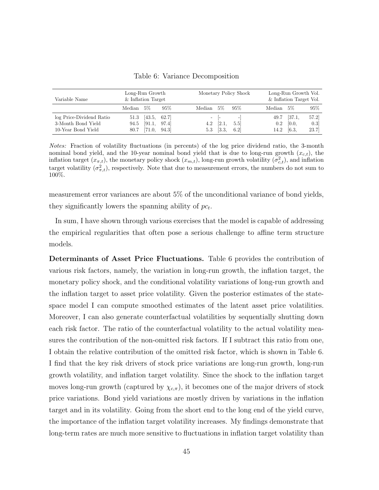| Variable Name            | Long-Run Growth<br>& Inflation Target |              | Monetary Policy Shock |                  |     |        | Long-Run Growth Vol.<br>& Inflation Target Vol. |        |  |
|--------------------------|---------------------------------------|--------------|-----------------------|------------------|-----|--------|-------------------------------------------------|--------|--|
|                          | Median 5\%                            | 95%          | Median                | $5\%$            | 95% | Median | -5%                                             | $95\%$ |  |
| log Price-Dividend Ratio | 51.3                                  | [43.5, 62.7] | -                     |                  |     | 49.7   | [37.1,                                          | 57.2   |  |
| 3-Month Bond Yield       | [91.1,<br>94.5                        | 97.4         | 4.2                   | 2.1.             | 5.5 | 0.2    | [0.0,                                           | 0.3    |  |
| 10-Year Bond Yield       | 71.0.<br>80.7                         | 94.3         | 5.3                   | $\overline{3.3}$ | 6.2 | 14.2   | [6.3,                                           | 23.7   |  |

Table 6: Variance Decomposition

Notes: Fraction of volatility fluctuations (in percents) of the log price dividend ratio, the 3-month nominal bond yield, and the 10-year nominal bond yield that is due to long-run growth  $(x_{c,t})$ , the inflation target  $(x_{\pi,t})$ , the monetary policy shock  $(x_{m,t})$ , long-run growth volatility  $(\sigma_{c,t}^2)$ , and inflation target volatility  $(\sigma_{\pi,t}^2)$ , respectively. Note that due to measurement errors, the numbers do not sum to 100%.

measurement error variances are about 5% of the unconditional variance of bond yields, they significantly lowers the spanning ability of  $pc_t$ .

In sum, I have shown through various exercises that the model is capable of addressing the empirical regularities that often pose a serious challenge to affine term structure models.

Determinants of Asset Price Fluctuations. Table 6 provides the contribution of various risk factors, namely, the variation in long-run growth, the inflation target, the monetary policy shock, and the conditional volatility variations of long-run growth and the inflation target to asset price volatility. Given the posterior estimates of the statespace model I can compute smoothed estimates of the latent asset price volatilities. Moreover, I can also generate counterfactual volatilities by sequentially shutting down each risk factor. The ratio of the counterfactual volatility to the actual volatility measures the contribution of the non-omitted risk factors. If I subtract this ratio from one, I obtain the relative contribution of the omitted risk factor, which is shown in Table 6. I find that the key risk drivers of stock price variations are long-run growth, long-run growth volatility, and inflation target volatility. Since the shock to the inflation target moves long-run growth (captured by  $\chi_{c,\pi}$ ), it becomes one of the major drivers of stock price variations. Bond yield variations are mostly driven by variations in the inflation target and in its volatility. Going from the short end to the long end of the yield curve, the importance of the inflation target volatility increases. My findings demonstrate that long-term rates are much more sensitive to fluctuations in inflation target volatility than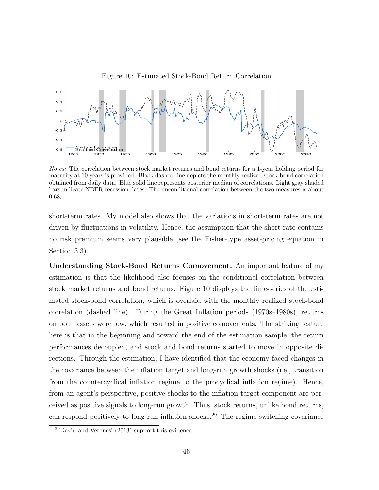



Notes: The correlation between stock market returns and bond returns for a 1-year holding period for maturity at 10 years is provided. Black dashed line depicts the monthly realized stock-bond correlation obtained from daily data. Blue solid line represents posterior median of correlations. Light gray shaded bars indicate NBER recession dates. The unconditional correlation between the two measures is about 0.68.

short-term rates. My model also shows that the variations in short-term rates are not driven by fluctuations in volatility. Hence, the assumption that the short rate contains no risk premium seems very plausible (see the Fisher-type asset-pricing equation in Section 3.3).

Understanding Stock-Bond Returns Comovement. An important feature of my estimation is that the likelihood also focuses on the conditional correlation between stock market returns and bond returns. Figure 10 displays the time-series of the estimated stock-bond correlation, which is overlaid with the monthly realized stock-bond correlation (dashed line). During the Great Inflation periods (1970s–1980s), returns on both assets were low, which resulted in positive comovements. The striking feature here is that in the beginning and toward the end of the estimation sample, the return performances decoupled, and stock and bond returns started to move in opposite directions. Through the estimation, I have identified that the economy faced changes in the covariance between the inflation target and long-run growth shocks (i.e., transition from the countercyclical inflation regime to the procyclical inflation regime). Hence, from an agent's perspective, positive shocks to the inflation target component are perceived as positive signals to long-run growth. Thus, stock returns, unlike bond returns, can respond positively to long-run inflation shocks.<sup>29</sup> The regime-switching covariance

 $^{29}$ David and Veronesi (2013) support this evidence.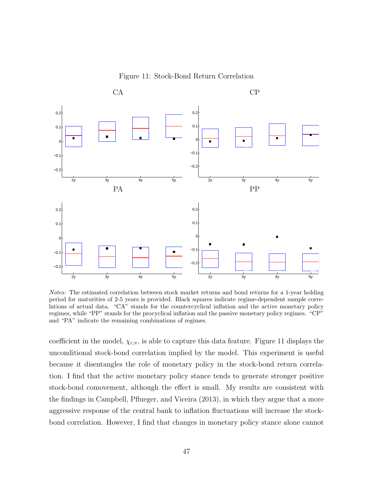Figure 11: Stock-Bond Return Correlation



Notes: The estimated correlation between stock market returns and bond returns for a 1-year holding period for maturities of 2-5 years is provided. Black squares indicate regime-dependent sample correlations of actual data. "CA" stands for the countercyclical inflation and the active monetary policy regimes, while "PP" stands for the procyclical inflation and the passive monetary policy regimes. "CP" and "PA" indicate the remaining combinations of regimes.

coefficient in the model,  $\chi_{c,\pi}$ , is able to capture this data feature. Figure 11 displays the unconditional stock-bond correlation implied by the model. This experiment is useful because it disentangles the role of monetary policy in the stock-bond return correlation. I find that the active monetary policy stance tends to generate stronger positive stock-bond comovement, although the effect is small. My results are consistent with the findings in Campbell, Pflueger, and Viceira (2013), in which they argue that a more aggressive response of the central bank to inflation fluctuations will increase the stockbond correlation. However, I find that changes in monetary policy stance alone cannot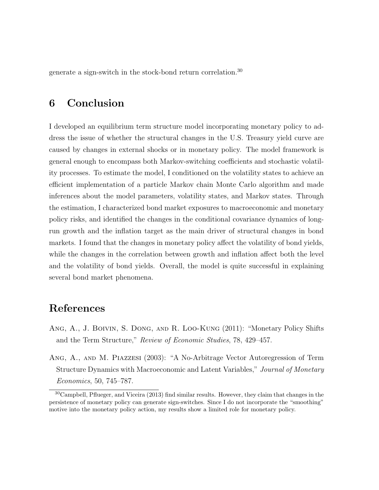generate a sign-switch in the stock-bond return correlation.<sup>30</sup>

## 6 Conclusion

I developed an equilibrium term structure model incorporating monetary policy to address the issue of whether the structural changes in the U.S. Treasury yield curve are caused by changes in external shocks or in monetary policy. The model framework is general enough to encompass both Markov-switching coefficients and stochastic volatility processes. To estimate the model, I conditioned on the volatility states to achieve an efficient implementation of a particle Markov chain Monte Carlo algorithm and made inferences about the model parameters, volatility states, and Markov states. Through the estimation, I characterized bond market exposures to macroeconomic and monetary policy risks, and identified the changes in the conditional covariance dynamics of longrun growth and the inflation target as the main driver of structural changes in bond markets. I found that the changes in monetary policy affect the volatility of bond yields, while the changes in the correlation between growth and inflation affect both the level and the volatility of bond yields. Overall, the model is quite successful in explaining several bond market phenomena.

## References

- Ang, A., J. Boivin, S. Dong, and R. Loo-Kung (2011): "Monetary Policy Shifts and the Term Structure," Review of Economic Studies, 78, 429–457.
- Ang, A., and M. Piazzesi (2003): "A No-Arbitrage Vector Autoregression of Term Structure Dynamics with Macroeconomic and Latent Variables," Journal of Monetary Economics, 50, 745–787.

<sup>30</sup>Campbell, Pflueger, and Viceira (2013) find similar results. However, they claim that changes in the persistence of monetary policy can generate sign-switches. Since I do not incorporate the "smoothing" motive into the monetary policy action, my results show a limited role for monetary policy.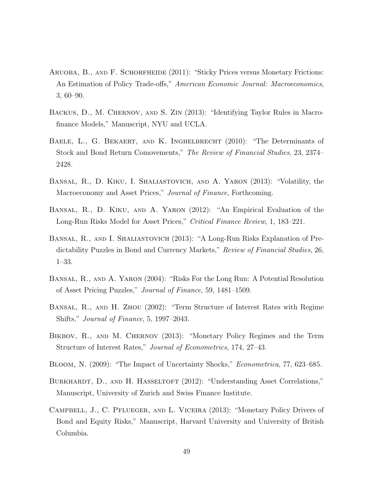- ARUOBA, B., AND F. SCHORFHEIDE (2011): "Sticky Prices versus Monetary Frictions: An Estimation of Policy Trade-offs," American Economic Journal: Macroeconomics, 3, 60–90.
- Backus, D., M. Chernov, and S. Zin (2013): "Identifying Taylor Rules in Macrofinance Models," Manuscript, NYU and UCLA.
- BAELE, L., G. BEKAERT, AND K. INGHELBRECHT (2010): "The Determinants of Stock and Bond Return Comovements," The Review of Financial Studies, 23, 2374– 2428.
- Bansal, R., D. Kiku, I. Shaliastovich, and A. Yaron (2013): "Volatility, the Macroeconomy and Asset Prices," Journal of Finance, Forthcoming.
- Bansal, R., D. Kiku, and A. Yaron (2012): "An Empirical Evaluation of the Long-Run Risks Model for Asset Prices," Critical Finance Review, 1, 183–221.
- Bansal, R., and I. Shaliastovich (2013): "A Long-Run Risks Explanation of Predictability Puzzles in Bond and Currency Markets," Review of Financial Studies, 26, 1–33.
- Bansal, R., and A. Yaron (2004): "Risks For the Long Run: A Potential Resolution of Asset Pricing Puzzles," Journal of Finance, 59, 1481–1509.
- Bansal, R., and H. Zhou (2002): "Term Structure of Interest Rates with Regime Shifts," Journal of Finance, 5, 1997–2043.
- BIKBOV, R., AND M. CHERNOV (2013): "Monetary Policy Regimes and the Term Structure of Interest Rates," Journal of Econometrics, 174, 27–43.
- Bloom, N. (2009): "The Impact of Uncertainty Shocks," Econometrica, 77, 623–685.
- BURKHARDT, D., AND H. HASSELTOFT (2012): "Understanding Asset Correlations," Manuscript, University of Zurich and Swiss Finance Institute.
- Campbell, J., C. Pflueger, and L. Viceira (2013): "Monetary Policy Drivers of Bond and Equity Risks," Manuscript, Harvard University and University of British Columbia.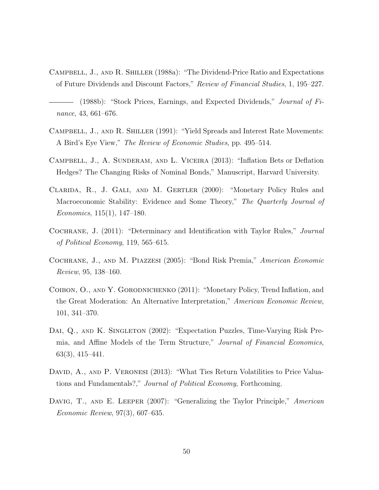- Campbell, J., and R. Shiller (1988a): "The Dividend-Price Ratio and Expectations of Future Dividends and Discount Factors," Review of Financial Studies, 1, 195–227.
- (1988b): "Stock Prices, Earnings, and Expected Dividends," Journal of Finance, 43, 661–676.
- Campbell, J., and R. Shiller (1991): "Yield Spreads and Interest Rate Movements: A Bird's Eye View," The Review of Economic Studies, pp. 495–514.
- Campbell, J., A. Sunderam, and L. Viceira (2013): "Inflation Bets or Deflation Hedges? The Changing Risks of Nominal Bonds," Manuscript, Harvard University.
- Clarida, R., J. Gali, and M. Gertler (2000): "Monetary Policy Rules and Macroeconomic Stability: Evidence and Some Theory," The Quarterly Journal of Economics, 115(1), 147–180.
- Cochrane, J. (2011): "Determinacy and Identification with Taylor Rules," Journal of Political Economy, 119, 565–615.
- Cochrane, J., and M. Piazzesi (2005): "Bond Risk Premia," American Economic Review, 95, 138–160.
- Coibon, O., and Y. Gorodnichenko (2011): "Monetary Policy, Trend Inflation, and the Great Moderation: An Alternative Interpretation," American Economic Review, 101, 341–370.
- DAI, Q., AND K. SINGLETON (2002): "Expectation Puzzles, Time-Varying Risk Premia, and Affine Models of the Term Structure," Journal of Financial Economics, 63(3), 415–441.
- DAVID, A., AND P. VERONESI (2013): "What Ties Return Volatilities to Price Valuations and Fundamentals?," Journal of Political Economy, Forthcoming.
- DAVIG, T., AND E. LEEPER (2007): "Generalizing the Taylor Principle," American Economic Review, 97(3), 607–635.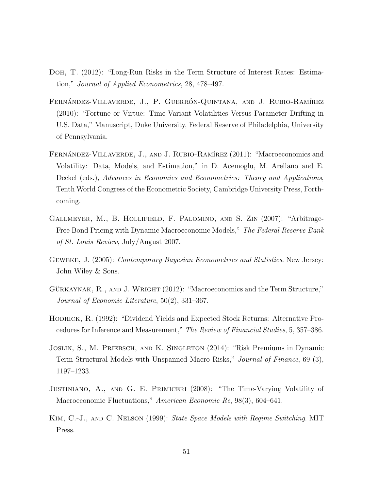- Doh, T. (2012): "Long-Run Risks in the Term Structure of Interest Rates: Estimation," Journal of Applied Econometrics, 28, 478–497.
- FERNÁNDEZ-VILLAVERDE, J., P. GUERRÓN-QUINTANA, AND J. RUBIO-RAMÍREZ (2010): "Fortune or Virtue: Time-Variant Volatilities Versus Parameter Drifting in U.S. Data," Manuscript, Duke University, Federal Reserve of Philadelphia, University of Pennsylvania.
- FERNÁNDEZ-VILLAVERDE, J., AND J. RUBIO-RAMÍREZ (2011): "Macroeconomics and Volatility: Data, Models, and Estimation," in D. Acemoglu, M. Arellano and E. Deckel (eds.), Advances in Economics and Econometrics: Theory and Applications, Tenth World Congress of the Econometric Society, Cambridge University Press, Forthcoming.
- Gallmeyer, M., B. Hollifield, F. Palomino, and S. Zin (2007): "Arbitrage-Free Bond Pricing with Dynamic Macroeconomic Models," The Federal Reserve Bank of St. Louis Review, July/August 2007.
- Geweke, J. (2005): Contemporary Bayesian Econometrics and Statistics. New Jersey: John Wiley & Sons.
- GÜRKAYNAK,  $R_{\cdot}$ , AND J. WRIGHT  $(2012)$ : "Macroeconomics and the Term Structure," Journal of Economic Literature, 50(2), 331–367.
- HODRICK, R. (1992): "Dividend Yields and Expected Stock Returns: Alternative Procedures for Inference and Measurement," The Review of Financial Studies, 5, 357–386.
- Joslin, S., M. Priebsch, and K. Singleton (2014): "Risk Premiums in Dynamic Term Structural Models with Unspanned Macro Risks," Journal of Finance, 69 (3), 1197–1233.
- Justiniano, A., and G. E. Primiceri (2008): "The Time-Varying Volatility of Macroeconomic Fluctuations," American Economic Re, 98(3), 604–641.
- Kim, C.-J., and C. Nelson (1999): State Space Models with Regime Switching. MIT Press.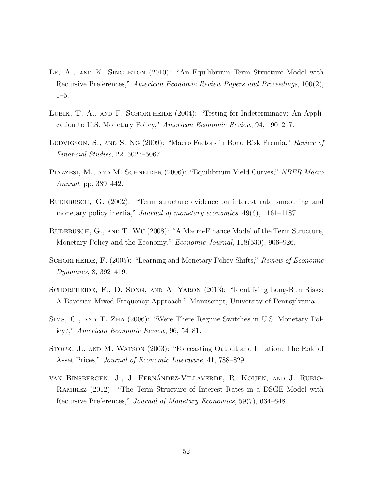- LE, A., AND K. SINGLETON (2010): "An Equilibrium Term Structure Model with Recursive Preferences," American Economic Review Papers and Proceedings, 100(2), 1–5.
- LUBIK, T. A., AND F. SCHORFHEIDE (2004): "Testing for Indeterminacy: An Application to U.S. Monetary Policy," American Economic Review, 94, 190–217.
- Ludvigson, S., and S. Ng (2009): "Macro Factors in Bond Risk Premia," Review of Financial Studies, 22, 5027–5067.
- PIAZZESI, M., AND M. SCHNEIDER (2006): "Equilibrium Yield Curves," NBER Macro Annual, pp. 389–442.
- RUDEBUSCH, G. (2002): "Term structure evidence on interest rate smoothing and monetary policy inertia," *Journal of monetary economics*, 49(6), 1161–1187.
- RUDEBUSCH, G., AND T. WU (2008): "A Macro-Finance Model of the Term Structure, Monetary Policy and the Economy," Economic Journal, 118(530), 906–926.
- SCHORFHEIDE, F. (2005): "Learning and Monetary Policy Shifts," Review of Economic Dynamics, 8, 392–419.
- SCHORFHEIDE, F., D. SONG, AND A. YARON (2013): "Identifying Long-Run Risks: A Bayesian Mixed-Frequency Approach," Manuscript, University of Pennsylvania.
- Sims, C., and T. Zha (2006): "Were There Regime Switches in U.S. Monetary Policy?," American Economic Review, 96, 54–81.
- Stock, J., and M. Watson (2003): "Forecasting Output and Inflation: The Role of Asset Prices," Journal of Economic Literature, 41, 788–829.
- van Binsbergen, J., J. Fernández-Villaverde, R. Koijen, and J. Rubio-RAMÍREZ (2012): "The Term Structure of Interest Rates in a DSGE Model with Recursive Preferences," Journal of Monetary Economics, 59(7), 634–648.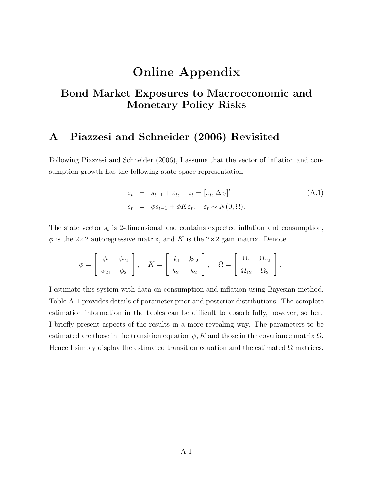# Online Appendix

## Bond Market Exposures to Macroeconomic and Monetary Policy Risks

## A Piazzesi and Schneider (2006) Revisited

Following Piazzesi and Schneider (2006), I assume that the vector of inflation and consumption growth has the following state space representation

$$
z_t = s_{t-1} + \varepsilon_t, \quad z_t = [\pi_t, \Delta c_t]'
$$
  
\n
$$
s_t = \phi s_{t-1} + \phi K \varepsilon_t, \quad \varepsilon_t \sim N(0, \Omega).
$$
\n(A.1)

The state vector  $s_t$  is 2-dimensional and contains expected inflation and consumption,  $\phi$  is the 2×2 autoregressive matrix, and K is the 2×2 gain matrix. Denote

$$
\phi = \left[ \begin{array}{cc} \phi_1 & \phi_{12} \\ \phi_{21} & \phi_2 \end{array} \right], \quad K = \left[ \begin{array}{cc} k_1 & k_{12} \\ k_{21} & k_2 \end{array} \right], \quad \Omega = \left[ \begin{array}{cc} \Omega_1 & \Omega_{12} \\ \Omega_{12} & \Omega_2 \end{array} \right].
$$

I estimate this system with data on consumption and inflation using Bayesian method. Table A-1 provides details of parameter prior and posterior distributions. The complete estimation information in the tables can be difficult to absorb fully, however, so here I briefly present aspects of the results in a more revealing way. The parameters to be estimated are those in the transition equation  $\phi$ , K and those in the covariance matrix  $\Omega$ . Hence I simply display the estimated transition equation and the estimated  $\Omega$  matrices.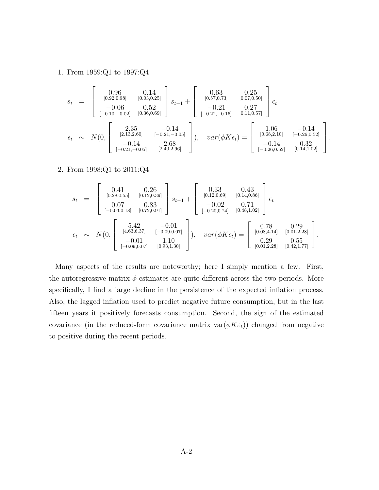#### 1. From 1959:Q1 to 1997:Q4

$$
s_{t} = \begin{bmatrix} 0.96 & 0.14 \\ [0.92, 0.98] & [0.03, 0.25] \\ -0.06 & 0.52 \\ [-0.10, -0.02] & [0.36, 0.69] \end{bmatrix} s_{t-1} + \begin{bmatrix} 0.63 & 0.25 \\ [0.57, 0.73] & [0.07, 0.50] \\ -0.21 & 0.27 \\ [-0.22, -0.16] & [0.11, 0.57] \end{bmatrix} \epsilon_{t}
$$

$$
\epsilon_{t} \sim N(0, \begin{bmatrix} 2.35 & -0.14 \\ [2.13, 2.60] & [-0.21, -0.05] \\ -0.14 & 2.68 \\ [-0.21, -0.05] & [2.40, 2.96] \end{bmatrix}), \quad var(\phi K \epsilon_{t}) = \begin{bmatrix} 1.06 & -0.14 \\ [0.68, 2.10] & [-0.26, 0.52] \\ -0.14 & 0.32 \\ [-0.26, 0.52] & [0.14, 1.02] \end{bmatrix}.
$$

#### 2. From 1998:Q1 to 2011:Q4

$$
s_{t} = \begin{bmatrix} 0.41 & 0.26 \\ [0.28, 0.55] & [0.12, 0.39] \\ [0.07 & 0.83 \\ [-0.03, 0.18] & [0.72, 0.91] \end{bmatrix} s_{t-1} + \begin{bmatrix} 0.33 & 0.43 \\ [0.12, 0.69] & [0.14, 0.86] \\ -0.02 & 0.71 \\ [-0.20, 0.24] & [0.48, 1.02] \end{bmatrix} \epsilon_{t}
$$

$$
\epsilon_{t} \sim N(0, \begin{bmatrix} 5.42 & -0.01 \\ [4.63, 6.37] & [-0.09, 0.07] \\ -0.01 & 1.10 \\ [-0.09, 0.07] & [0.93, 1.30] \end{bmatrix}), \quad var(\phi K \epsilon_{t}) = \begin{bmatrix} 0.78 & 0.29 \\ [0.08, 4.14] & [0.01, 2.28] \\ 0.29 & 0.55 \\ [0.01, 2.28] & [0.42, 1.77] \end{bmatrix}.
$$

Many aspects of the results are noteworthy; here I simply mention a few. First, the autoregressive matrix  $\phi$  estimates are quite different across the two periods. More specifically, I find a large decline in the persistence of the expected inflation process. Also, the lagged inflation used to predict negative future consumption, but in the last fifteen years it positively forecasts consumption. Second, the sign of the estimated covariance (in the reduced-form covariance matrix  $var(\phi K \varepsilon_t)$ ) changed from negative to positive during the recent periods.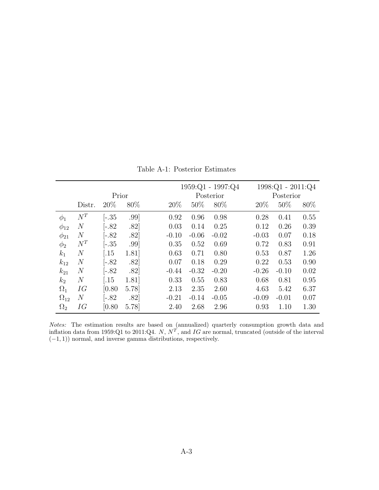|               |                |                     |      |           | $1959:Q1 - 1997:Q4$ |         |           |         | $1998:Q1 - 2011:Q4$ |      |
|---------------|----------------|---------------------|------|-----------|---------------------|---------|-----------|---------|---------------------|------|
|               | Prior          |                     |      | Posterior |                     |         | Posterior |         |                     |      |
|               | Distr.         | 20\%                | 80\% | 20\%      | 50%                 | 80\%    |           | $20\%$  | $50\%$              | 80\% |
| $\phi_1$      | $N^T$          | $[-.35]$            | .99  | 0.92      | 0.96                | 0.98    |           | 0.28    | 0.41                | 0.55 |
| $\phi_{12}$   | N              | -.82                | .82] | 0.03      | 0.14                | 0.25    |           | 0.12    | 0.26                | 0.39 |
| $\phi_{21}$   | $\overline{N}$ | $[-.82]$            | .82] | $-0.10$   | $-0.06$             | $-0.02$ |           | $-0.03$ | 0.07                | 0.18 |
| $\phi_2$      | $N^T$          | $[-.35]$            | .99] | 0.35      | 0.52                | 0.69    |           | 0.72    | 0.83                | 0.91 |
| $k_{1}$       | $\,N$          | $\overline{.15}$    | 1.81 | 0.63      | 0.71                | 0.80    |           | 0.53    | 0.87                | 1.26 |
| $k_{12}$      | N              | $[-.82]$            | .82] | 0.07      | 0.18                | 0.29    |           | 0.22    | 0.53                | 0.90 |
| $k_{21}$      | $\overline{N}$ | $[-.82]$            | .82  | $-0.44$   | $-0.32$             | $-0.20$ |           | $-0.26$ | $-0.10$             | 0.02 |
| $k_2$         | $\overline{N}$ | $\left[ .15\right]$ | 1.81 | 0.33      | 0.55                | 0.83    |           | 0.68    | 0.81                | 0.95 |
| $\Omega_1$    | IG             | [0.80]              | 5.78 | 2.13      | 2.35                | 2.60    |           | 4.63    | 5.42                | 6.37 |
| $\Omega_{12}$ | $\overline{N}$ | $[-.82]$            | .82] | $-0.21$   | $-0.14$             | $-0.05$ |           | $-0.09$ | $-0.01$             | 0.07 |
| $\Omega_2$    | ΙG             | [0.80]              | 5.78 | 2.40      | 2.68                | 2.96    |           | 0.93    | 1.10                | 1.30 |

Table A-1: Posterior Estimates

Notes: The estimation results are based on (annualized) quarterly consumption growth data and inflation data from 1959:Q1 to 2011:Q4. N,  $N^T$ , and IG are normal, truncated (outside of the interval (−1, 1)) normal, and inverse gamma distributions, respectively.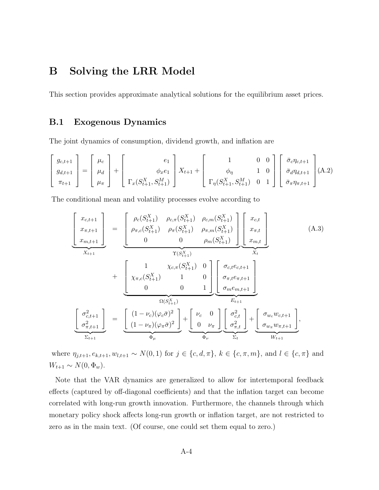### B Solving the LRR Model

This section provides approximate analytical solutions for the equilibrium asset prices.

### B.1 Exogenous Dynamics

The joint dynamics of consumption, dividend growth, and inflation are

$$
\begin{bmatrix} g_{c,t+1} \\ g_{d,t+1} \\ \pi_{t+1} \end{bmatrix} = \begin{bmatrix} \mu_c \\ \mu_d \\ \mu_{\pi} \end{bmatrix} + \begin{bmatrix} e_1 \\ \phi_x e_1 \\ \Gamma_x (S_{t+1}^X, S_{t+1}^M) \end{bmatrix} X_{t+1} + \begin{bmatrix} 1 & 0 & 0 \\ \phi_\eta & 1 & 0 \\ \Gamma_\eta (S_{t+1}^X, S_{t+1}^M) & 0 & 1 \end{bmatrix} \begin{bmatrix} \bar{\sigma}_c \eta_{c,t+1} \\ \bar{\sigma}_d \eta_{d,t+1} \\ \bar{\sigma}_\pi \eta_{\pi,t+1} \end{bmatrix} (A.2)
$$

The conditional mean and volatility processes evolve according to

$$
\begin{bmatrix}\nx_{c,t+1} \\
x_{\pi,t+1} \\
x_{\pi,t+1}\n\end{bmatrix} = \underbrace{\begin{bmatrix}\n\rho_c(S_{t+1}^X) & \rho_{c,\pi}(S_{t+1}^X) & \rho_{c,\pi}(S_{t+1}^X) \\
\rho_{\pi,c}(S_{t+1}^X) & \rho_{\pi,m}(S_{t+1}^X) & \rho_{\pi,m}(S_{t+1}^X) \\
0 & 0 & \rho_m(S_{t+1}^X)\n\end{bmatrix}}_{\Upsilon_{m,t}} \begin{bmatrix}\nx_{c,t} \\
x_{\pi,t} \\
x_{\pi,t}\n\end{bmatrix}
$$
\n
$$
+ \underbrace{\begin{bmatrix}\n1 & \chi_{c,\pi}(S_{t+1}^X) & 0 \\
\chi_{\pi,c}(S_{t+1}^X) & 1 & 0 \\
0 & 0 & 1\n\end{bmatrix}}_{\Omega(S_{t+1}^X)} \underbrace{\begin{bmatrix}\n\sigma_{c,t}e_{c,t+1} \\
\sigma_{\pi,t}e_{\pi,t+1} \\
\sigma_{m}e_{m,t+1}\n\end{bmatrix}}_{E_{t+1}}
$$
\n
$$
\underbrace{\begin{bmatrix}\n\sigma_{c,t+1}^2 \\
\sigma_{c,t+1}^2 \\
\sigma_{c,t+1}^2\n\end{bmatrix}}_{\Sigma_{t+1}} = \underbrace{\begin{bmatrix}\n(1-\nu_c)(\varphi_c\bar{\sigma})^2 \\
(1-\nu_{\pi})(\varphi_{\pi}\bar{\sigma})^2\n\end{bmatrix}}_{\Phi_{\mu}} + \underbrace{\begin{bmatrix}\nu_c & 0 \\
0 & \nu_{\pi}\n\end{bmatrix}}_{\Phi_{\nu}} \underbrace{\begin{bmatrix}\n\sigma_{c,t}^2 \\
\sigma_{c,t}^2 \\
\sigma_{c,t}^2 \\
\sigma_{c,t}^2\n\end{bmatrix}}_{E_{t+1}} + \underbrace{\begin{bmatrix}\n\sigma_{wc}w_{c,t+1} \\
\sigma_{w_{\pi}w_{\pi,t+1}}\n\end{bmatrix}}_{W_{t+1}},
$$
\n(A.3)

where  $\eta_{j,t+1}, e_{k,t+1}, w_{l,t+1} \sim N(0, 1)$  for  $j \in \{c, d, \pi\}$ ,  $k \in \{c, \pi, m\}$ , and  $l \in \{c, \pi\}$  and  $W_{t+1} \sim N(0, \Phi_w).$ 

Note that the VAR dynamics are generalized to allow for intertemporal feedback effects (captured by off-diagonal coefficients) and that the inflation target can become correlated with long-run growth innovation. Furthermore, the channels through which monetary policy shock affects long-run growth or inflation target, are not restricted to zero as in the main text. (Of course, one could set them equal to zero.)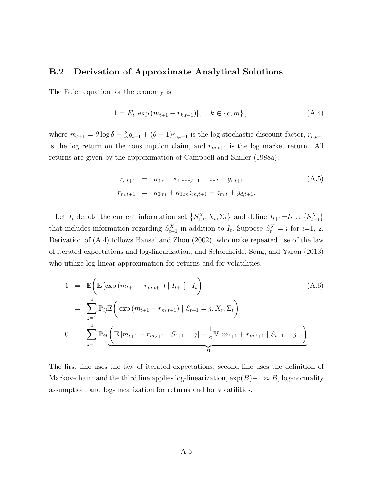#### B.2 Derivation of Approximate Analytical Solutions

The Euler equation for the economy is

$$
1 = E_t \left[ \exp \left( m_{t+1} + r_{k,t+1} \right) \right], \quad k \in \{c, m\}, \tag{A.4}
$$

where  $m_{t+1} = \theta \log \delta - \frac{\theta}{\psi}$  $\frac{\theta}{\psi}g_{t+1} + (\theta - 1)r_{c,t+1}$  is the log stochastic discount factor,  $r_{c,t+1}$ is the log return on the consumption claim, and  $r_{m,t+1}$  is the log market return. All returns are given by the approximation of Campbell and Shiller (1988a):

$$
r_{c,t+1} = \kappa_{0,c} + \kappa_{1,c} z_{c,t+1} - z_{c,t} + g_{c,t+1}
$$
  
\n
$$
r_{m,t+1} = \kappa_{0,m} + \kappa_{1,m} z_{m,t+1} - z_{m,t} + g_{d,t+1}.
$$
\n(A.5)

Let  $I_t$  denote the current information set  $\{S_{1:t}^X, X_t, \Sigma_t\}$  and define  $I_{t+1} = I_t \cup \{S_{t+1}^X\}$ that includes information regarding  $S_{t+1}^X$  in addition to  $I_t$ . Suppose  $S_t^X = i$  for  $i=1, 2$ . Derivation of (A.4) follows Bansal and Zhou (2002), who make repeated use of the law of iterated expectations and log-linearization, and Schorfheide, Song, and Yaron (2013) who utilize log-linear approximation for returns and for volatilities.

$$
1 = \mathbb{E}\left(\mathbb{E}\left[\exp\left(m_{t+1} + r_{m,t+1}\right) | I_{t+1}\right] | I_t\right)
$$
\n
$$
= \sum_{j=1}^4 \mathbb{P}_{ij} \mathbb{E}\left(\exp\left(m_{t+1} + r_{m,t+1}\right) | S_{t+1} = j, X_t, \Sigma_t\right)
$$
\n
$$
0 = \sum_{j=1}^4 \mathbb{P}_{ij} \underbrace{\left(\mathbb{E}\left[m_{t+1} + r_{m,t+1} | S_{t+1} = j\right] + \frac{1}{2} \mathbb{V}\left[m_{t+1} + r_{m,t+1} | S_{t+1} = j\right]\right)}_{B}
$$
\n(A.6)

The first line uses the law of iterated expectations, second line uses the definition of Markov-chain; and the third line applies log-linearization,  $\exp(B)-1 \approx B$ , log-normality assumption, and log-linearization for returns and for volatilities.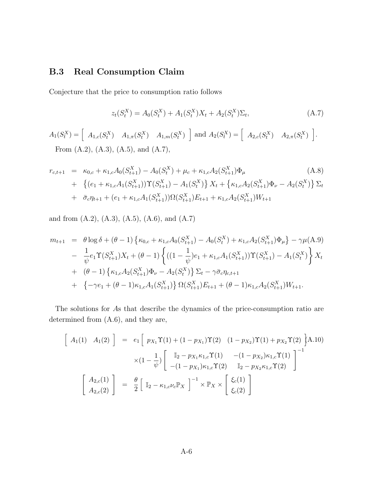### B.3 Real Consumption Claim

Conjecture that the price to consumption ratio follows

$$
z_t(S_t^X) = A_0(S_t^X) + A_1(S_t^X)X_t + A_2(S_t^X)\Sigma_t,
$$
\n(A.7)

 $A_1(S_t^X) = \begin{bmatrix} A_{1,c}(S_t^X) & A_{1,\pi}(S_t^X) & A_{1,m}(S_t^X) \end{bmatrix}$  and  $A_2(S_t^X) = \begin{bmatrix} A_{2,c}(S_t^X) & A_{2,\pi}(S_t^X) \end{bmatrix}$ . From (A.2), (A.3), (A.5), and (A.7),

$$
r_{c,t+1} = \kappa_{0,c} + \kappa_{1,c} A_0(S_{t+1}^X) - A_0(S_t^X) + \mu_c + \kappa_{1,c} A_2(S_{t+1}^X) \Phi_\mu
$$
\n
$$
+ \left\{ (e_1 + \kappa_{1,c} A_1(S_{t+1}^X)) \Upsilon(S_{t+1}^X) - A_1(S_t^X) \right\} X_t + \left\{ \kappa_{1,c} A_2(S_{t+1}^X) \Phi_\nu - A_2(S_t^X) \right\} \Sigma_t
$$
\n
$$
+ \bar{\sigma}_c \eta_{t+1} + (e_1 + \kappa_{1,c} A_1(S_{t+1}^X)) \Omega(S_{t+1}^X) E_{t+1} + \kappa_{1,c} A_2(S_{t+1}^X) W_{t+1}
$$
\n(A.8)

and from (A.2), (A.3), (A.5), (A.6), and (A.7)

$$
m_{t+1} = \theta \log \delta + (\theta - 1) \left\{ \kappa_{0,c} + \kappa_{1,c} A_0(S_{t+1}^X) - A_0(S_t^X) + \kappa_{1,c} A_2(S_{t+1}^X) \Phi_\mu \right\} - \gamma \mu(A.9)
$$
  
\n
$$
- \frac{1}{\psi} e_1 \Upsilon(S_{t+1}^X) X_t + (\theta - 1) \left\{ ((1 - \frac{1}{\psi})e_1 + \kappa_{1,c} A_1(S_{t+1}^X)) \Upsilon(S_{t+1}^X) - A_1(S_t^X) \right\} X_t
$$
  
\n
$$
+ (\theta - 1) \left\{ \kappa_{1,c} A_2(S_{t+1}^X) \Phi_\nu - A_2(S_t^X) \right\} \Sigma_t - \gamma \bar{\sigma}_c \eta_{c,t+1}
$$
  
\n
$$
+ \left\{ -\gamma e_1 + (\theta - 1) \kappa_{1,c} A_1(S_{t+1}^X) \right\} \Omega(S_{t+1}^X) E_{t+1} + (\theta - 1) \kappa_{1,c} A_2(S_{t+1}^X) W_{t+1}.
$$

The solutions for As that describe the dynamics of the price-consumption ratio are determined from (A.6), and they are,

$$
\begin{bmatrix}\nA_1(1) & A_1(2)\n\end{bmatrix} = e_1 \begin{bmatrix}\np_{X_1} \Upsilon(1) + (1 - p_{X_1}) \Upsilon(2) & (1 - p_{X_2}) \Upsilon(1) + p_{X_2} \Upsilon(2)\n\end{bmatrix} A.10)
$$
\n
$$
\times (1 - \frac{1}{\psi}) \begin{bmatrix}\n\mathbb{I}_2 - p_{X_1} \kappa_{1,c} \Upsilon(1) & -(1 - p_{X_2}) \kappa_{1,c} \Upsilon(1) \\
-(1 - p_{X_1}) \kappa_{1,c} \Upsilon(2) & \mathbb{I}_2 - p_{X_2} \kappa_{1,c} \Upsilon(2)\n\end{bmatrix}^{-1}
$$
\n
$$
\begin{bmatrix}\nA_{2,c}(1) \\
A_{2,c}(2)\n\end{bmatrix} = \frac{\theta}{2} \begin{bmatrix}\n\mathbb{I}_2 - \kappa_{1,c} \nu_c \mathbb{P}_X\n\end{bmatrix}^{-1} \times \mathbb{P}_X \times \begin{bmatrix}\n\xi_c(1) \\
\xi_c(2)\n\end{bmatrix}
$$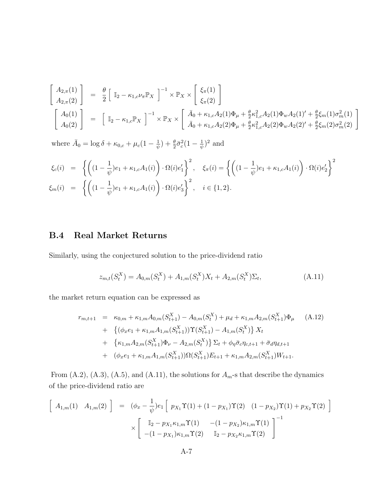$$
\begin{bmatrix}\nA_{2,\pi}(1) \\
A_{2,\pi}(2)\n\end{bmatrix} = \frac{\theta}{2} \begin{bmatrix}\n\mathbb{I}_2 - \kappa_{1,c}\nu_\pi \mathbb{P}_X\n\end{bmatrix}^{-1} \times \mathbb{P}_X \times \begin{bmatrix}\n\xi_\pi(1) \\
\xi_\pi(2)\n\end{bmatrix}
$$
\n
$$
\begin{bmatrix}\nA_0(1) \\
A_0(2)\n\end{bmatrix} = \begin{bmatrix}\n\mathbb{I}_2 - \kappa_{1,c}\mathbb{P}_X\n\end{bmatrix}^{-1} \times \mathbb{P}_X \times \begin{bmatrix}\n\bar{A}_0 + \kappa_{1,c}A_2(1)\Phi_\mu + \frac{\theta}{2}\kappa_{1,c}^2A_2(1)\Phi_w A_2(1)' + \frac{\theta}{2}\xi_m(1)\sigma_m^2(1) \\
\bar{A}_0 + \kappa_{1,c}A_2(2)\Phi_\mu + \frac{\theta}{2}\kappa_{1,c}^2A_2(2)\Phi_w A_2(2)' + \frac{\theta}{2}\xi_m(2)\sigma_m^2(2)\n\end{bmatrix}
$$

where  $\bar{A}_0 = \log \delta + \kappa_{0,c} + \mu_c (1 - \frac{1}{\psi})$  $\frac{1}{\psi})+\frac{\theta}{2}\bar{\sigma}_{c}^{2}(1-\frac{1}{\psi}% )\bar{\sigma}_{c}^{2}(1-\frac{1}{\psi})=0$  $(\frac{1}{\psi})^2$  and

$$
\xi_c(i) = \left\{ \left( (1 - \frac{1}{\psi})e_1 + \kappa_{1,c}A_1(i) \right) \cdot \Omega(i)e'_1 \right\}^2, \quad \xi_{\pi}(i) = \left\{ \left( (1 - \frac{1}{\psi})e_1 + \kappa_{1,c}A_1(i) \right) \cdot \Omega(i)e'_2 \right\}^2
$$
  

$$
\xi_m(i) = \left\{ \left( (1 - \frac{1}{\psi})e_1 + \kappa_{1,c}A_1(i) \right) \cdot \Omega(i)e'_3 \right\}^2, \quad i \in \{1, 2\}.
$$

### B.4 Real Market Returns

Similarly, using the conjectured solution to the price-dividend ratio

$$
z_{m,t}(S_t^X) = A_{0,m}(S_t^X) + A_{1,m}(S_t^X)X_t + A_{2,m}(S_t^X)\Sigma_t,
$$
\n(A.11)

the market return equation can be expressed as

$$
r_{m,t+1} = \kappa_{0,m} + \kappa_{1,m} A_{0,m} (S_{t+1}^X) - A_{0,m} (S_t^X) + \mu_d + \kappa_{1,m} A_{2,m} (S_{t+1}^X) \Phi_\mu \quad (A.12)
$$
  
+  $\{ (\phi_x e_1 + \kappa_{1,m} A_{1,m} (S_{t+1}^X)) \Upsilon (S_{t+1}^X) - A_{1,m} (S_t^X) \} X_t$   
+  $\{ \kappa_{1,m} A_{2,m} (S_{t+1}^X) \Phi_\nu - A_{2,m} (S_t^X) \} \Sigma_t + \phi_\eta \overline{\sigma}_c \eta_{c,t+1} + \overline{\sigma}_d \eta_{d,t+1}$   
+  $(\phi_x e_1 + \kappa_{1,m} A_{1,m} (S_{t+1}^X)) \Omega (S_{t+1}^X) E_{t+1} + \kappa_{1,m} A_{2,m} (S_{t+1}^X) W_{t+1}.$ 

From  $(A.2)$ ,  $(A.3)$ ,  $(A.5)$ , and  $(A.11)$ , the solutions for  $A<sub>m</sub>$ -s that describe the dynamics of the price-dividend ratio are

$$
\begin{bmatrix}\nA_{1,m}(1) & A_{1,m}(2)\n\end{bmatrix} = (\phi_x - \frac{1}{\psi})e_1 \begin{bmatrix}\np_{X_1}\Upsilon(1) + (1 - p_{X_1})\Upsilon(2) & (1 - p_{X_2})\Upsilon(1) + p_{X_2}\Upsilon(2)\n\end{bmatrix} \times \begin{bmatrix}\n\mathbb{I}_2 - p_{X_1}\kappa_{1,m}\Upsilon(1) & -(1 - p_{X_2})\kappa_{1,m}\Upsilon(1) \\
-(1 - p_{X_1})\kappa_{1,m}\Upsilon(2) & \mathbb{I}_2 - p_{X_2}\kappa_{1,m}\Upsilon(2)\n\end{bmatrix}^{-1}
$$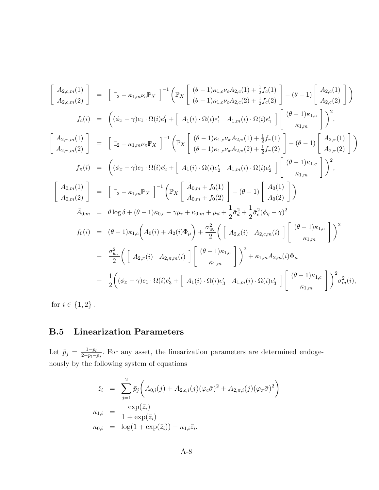$$
\begin{bmatrix}\nA_{2,c,m}(1) \\
A_{2,c,m}(2)\n\end{bmatrix} = \begin{bmatrix}\n\mathbb{I}_{2} - \kappa_{1,m}\nu_{c}\mathbb{P}_{X}\n\end{bmatrix}^{-1} \begin{bmatrix}\n\mathbb{P}_{X}\n\begin{bmatrix}\n(\theta - 1)\kappa_{1,c}\nu_{c}A_{2,c}(1) + \frac{1}{2}f_{c}(1) \\
(\theta - 1)\kappa_{1,c}\nu_{c}A_{2,c}(2) + \frac{1}{2}f_{c}(2)\n\end{bmatrix} - (\theta - 1)\begin{bmatrix}\nA_{2,c}(1) \\
A_{2,c}(2)\n\end{bmatrix}\n\end{bmatrix}
$$
\n
$$
f_{c}(i) = \begin{bmatrix}\n(\phi_{x} - \gamma)e_{1} \cdot \Omega(i)e'_{1} + \begin{bmatrix}\nA_{1}(i) \cdot \Omega(i)e'_{1} & A_{1,m}(i) \cdot \Omega(i)e'_{1}\n\end{bmatrix}\n\begin{bmatrix}\n(\theta - 1)\kappa_{1,c} \\
\kappa_{1,m}\n\end{bmatrix}\n\end{bmatrix}^{2},
$$
\n
$$
\begin{bmatrix}\nA_{2,\pi,m}(1) \\
A_{2,\pi,m}(2)\n\end{bmatrix} = \begin{bmatrix}\n\mathbb{I}_{2} - \kappa_{1,m}\nu_{\pi}\mathbb{P}_{X}\n\end{bmatrix}^{-1} \begin{bmatrix}\n\mathbb{P}_{X}\begin{bmatrix}\n(\theta - 1)\kappa_{1,c}\nu_{\pi}A_{2,\pi}(1) + \frac{1}{2}f_{\pi}(1) \\
(\theta - 1)\kappa_{1,c}\nu_{\pi}A_{2,\pi}(2) + \frac{1}{2}f_{\pi}(2)\n\end{bmatrix} - (\theta - 1)\begin{bmatrix}\nA_{2,\pi}(1) \\
A_{2,\pi}(2)\n\end{bmatrix}\n\end{bmatrix}^{2},
$$
\n
$$
f_{\pi}(i) = \begin{bmatrix}\n(\phi_{x} - \gamma)e_{1} \cdot \Omega(i)e'_{2} + \begin{bmatrix}\nA_{1}(i) \cdot \Omega(i)e'_{2} & A_{1,m}(i) \cdot \Omega(i)e'_{2}\n\end{bmatrix}\n\begin{bmatrix}\n(\theta - 1)\kappa_{1,c} \\
\kappa_{1,m}\n\end{bmatrix}\n\end{bmatrix}^{2},
$$
\n
$$
\begin{b
$$

for  $i \in \{1, 2\}$ .

## B.5 Linearization Parameters

Let  $\bar{p}_j = \frac{1-p_l}{2-p_l-1}$  $\frac{1-p_l}{2-p_l-p_j}$ . For any asset, the linearization parameters are determined endogenously by the following system of equations

$$
\bar{z}_i = \sum_{j=1}^2 \bar{p}_j \left( A_{0,i}(j) + A_{2,c,i}(j) (\varphi_c \bar{\sigma})^2 + A_{2,\pi,i}(j) (\varphi_\pi \bar{\sigma})^2 \right)
$$
  
\n
$$
\kappa_{1,i} = \frac{\exp(\bar{z}_i)}{1 + \exp(\bar{z}_i)}
$$
  
\n
$$
\kappa_{0,i} = \log(1 + \exp(\bar{z}_i)) - \kappa_{1,i} \bar{z}_i.
$$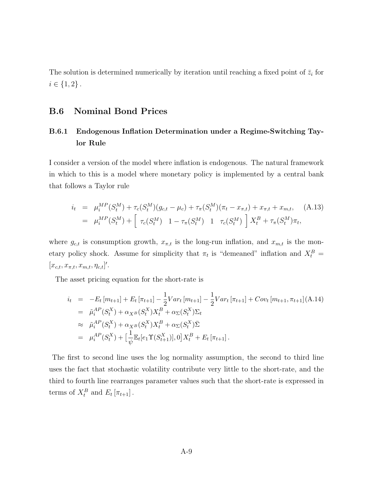The solution is determined numerically by iteration until reaching a fixed point of  $\bar{z}_i$  for  $i \in \{1, 2\}$ .

### B.6 Nominal Bond Prices

### B.6.1 Endogenous Inflation Determination under a Regime-Switching Taylor Rule

I consider a version of the model where inflation is endogenous. The natural framework in which to this is a model where monetary policy is implemented by a central bank that follows a Taylor rule

$$
i_t = \mu_i^{MP}(S_t^M) + \tau_c(S_t^M)(g_{c,t} - \mu_c) + \tau_\pi(S_t^M)(\pi_t - x_{\pi,t}) + x_{\pi,t} + x_{m,t}, \quad (A.13)
$$
  

$$
= \mu_i^{MP}(S_t^M) + \left[ \tau_c(S_t^M) \left(1 - \tau_\pi(S_t^M) \right) \left(1 - \tau_c(S_t^M) \right) \right] X_t^B + \tau_\pi(S_t^M)\pi_t,
$$

where  $g_{c,t}$  is consumption growth,  $x_{\pi,t}$  is the long-run inflation, and  $x_{m,t}$  is the monetary policy shock. Assume for simplicity that  $\pi_t$  is "demeaned" inflation and  $X_t^B$  =  $[x_{c,t}, x_{\pi,t}, x_{m,t}, \eta_{c,t}]'.$ 

The asset pricing equation for the short-rate is

$$
\begin{split}\ni_{t} &= -E_{t}[m_{t+1}] + E_{t}[\pi_{t+1}] - \frac{1}{2}Var_{t}[m_{t+1}] - \frac{1}{2}Var_{t}[\pi_{t+1}] + Cov_{t}[m_{t+1}, \pi_{t+1}](A.14) \\
&= \tilde{\mu}_{i}^{AP}(S_{t}^{X}) + \alpha_{X^{B}}(S_{t}^{X})X_{t}^{B} + \alpha_{\Sigma}(S_{t}^{X})\Sigma_{t} \\
&\approx \tilde{\mu}_{i}^{AP}(S_{t}^{X}) + \alpha_{X^{B}}(S_{t}^{X})X_{t}^{B} + \alpha_{\Sigma}(S_{t}^{X})\bar{\Sigma} \\
&= \mu_{i}^{AP}(S_{t}^{X}) + [\frac{1}{\psi}\mathbb{E}_{t}[e_{1}\Upsilon(S_{t+1}^{X})], 0]X_{t}^{B} + E_{t}[\pi_{t+1}].\n\end{split}
$$

The first to second line uses the log normality assumption, the second to third line uses the fact that stochastic volatility contribute very little to the short-rate, and the third to fourth line rearranges parameter values such that the short-rate is expressed in terms of  $X_t^B$  and  $E_t[\pi_{t+1}]$ .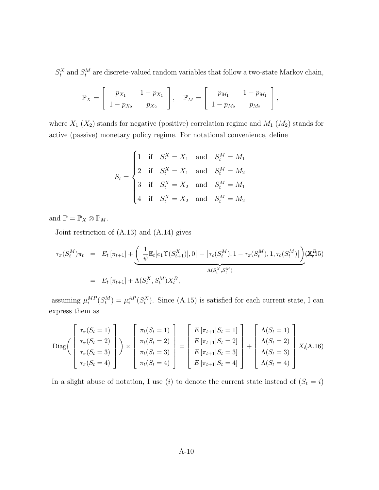$S_t^X$  and  $S_t^M$  are discrete-valued random variables that follow a two-state Markov chain,

$$
\mathbb{P}_X = \left[ \begin{array}{cc} p_{X_1} & 1 - p_{X_1} \\ 1 - p_{X_2} & p_{X_2} \end{array} \right], \quad \mathbb{P}_M = \left[ \begin{array}{cc} p_{M_1} & 1 - p_{M_1} \\ 1 - p_{M_2} & p_{M_2} \end{array} \right],
$$

where  $X_1$  ( $X_2$ ) stands for negative (positive) correlation regime and  $M_1$  ( $M_2$ ) stands for active (passive) monetary policy regime. For notational convenience, define

$$
S_t = \begin{cases} 1 & \text{if} \quad S_t^X = X_1 \quad \text{and} \quad S_t^M = M_1 \\ 2 & \text{if} \quad S_t^X = X_1 \quad \text{and} \quad S_t^M = M_2 \\ 3 & \text{if} \quad S_t^X = X_2 \quad \text{and} \quad S_t^M = M_1 \\ 4 & \text{if} \quad S_t^X = X_2 \quad \text{and} \quad S_t^M = M_2 \end{cases}
$$

and  $\mathbb{P} = \mathbb{P}_X \otimes \mathbb{P}_M$ .

Joint restriction of (A.13) and (A.14) gives

$$
\tau_{\pi}(S_t^M)\pi_t = E_t[\pi_{t+1}] + \underbrace{\left(\left[\frac{1}{\psi}\mathbb{E}_t[e_1\Upsilon(S_{t+1}^X)], 0\right] - \left[\tau_c(S_t^M), 1 - \tau_{\pi}(S_t^M), 1, \tau_c(S_t^M)\right]\right)}_{\Lambda(S_t^X, S_t^M)}(\mathbf{X}_t^B)
$$
\n
$$
= E_t[\pi_{t+1}] + \Lambda(S_t^X, S_t^M)X_t^B,
$$

assuming  $\mu_i^{MP}(S_t^M) = \mu_i^{AP}(S_t^X)$ . Since (A.15) is satisfied for each current state, I can express them as

$$
\operatorname{Diag}\left(\begin{bmatrix} \tau_{\pi}(S_t=1) \\ \tau_{\pi}(S_t=2) \\ \tau_{\pi}(S_t=3) \\ \tau_{\pi}(S_t=4) \end{bmatrix}\right) \times \begin{bmatrix} \pi_t(S_t=1) \\ \pi_t(S_t=2) \\ \pi_t(S_t=3) \\ \pi_t(S_t=4) \end{bmatrix} = \begin{bmatrix} E\left[\pi_{t+1}|S_t=1\right] \\ E\left[\pi_{t+1}|S_t=2\right] \\ E\left[\pi_{t+1}|S_t=3\right] \\ E\left[\pi_{t+1}|S_t=4\right] \end{bmatrix} + \begin{bmatrix} \Lambda(S_t=1) \\ \Lambda(S_t=2) \\ \Lambda(S_t=3) \\ \Lambda(S_t=4) \end{bmatrix} X_t(A.16)
$$

In a slight abuse of notation, I use  $(i)$  to denote the current state instead of  $(S_t = i)$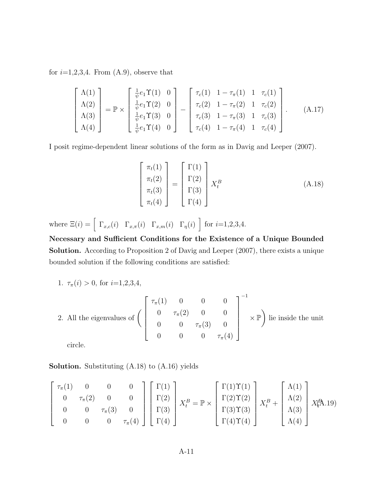for  $i=1,2,3,4$ . From  $(A.9)$ , observe that

$$
\begin{bmatrix}\n\Lambda(1) \\
\Lambda(2) \\
\Lambda(3) \\
\Lambda(4)\n\end{bmatrix} = \mathbb{P} \times \begin{bmatrix}\n\frac{1}{\psi}e_1 \Upsilon(1) & 0 \\
\frac{1}{\psi}e_1 \Upsilon(2) & 0 \\
\frac{1}{\psi}e_1 \Upsilon(3) & 0 \\
\frac{1}{\psi}e_1 \Upsilon(4) & 0\n\end{bmatrix} - \begin{bmatrix}\n\tau_c(1) & 1 - \tau_{\pi}(1) & 1 & \tau_c(1) \\
\tau_c(2) & 1 - \tau_{\pi}(2) & 1 & \tau_c(2) \\
\tau_c(3) & 1 - \tau_{\pi}(3) & 1 & \tau_c(3) \\
\tau_c(4) & 1 - \tau_{\pi}(4) & 1 & \tau_c(4)\n\end{bmatrix}.
$$
\n(A.17)

I posit regime-dependent linear solutions of the form as in Davig and Leeper (2007).

$$
\begin{bmatrix} \pi_t(1) \\ \pi_t(2) \\ \pi_t(3) \\ \pi_t(4) \end{bmatrix} = \begin{bmatrix} \Gamma(1) \\ \Gamma(2) \\ \Gamma(3) \\ \Gamma(4) \end{bmatrix} X_t^B
$$
\n(A.18)

where  $\Xi(i) = \left[ \begin{array}{cc} \Gamma_{x,c}(i) & \Gamma_{x,\pi}(i) & \Gamma_{x,m}(i) & \Gamma_{\eta}(i) \end{array} \right]$  for  $i=1,2,3,4$ .

Necessary and Sufficient Conditions for the Existence of a Unique Bounded Solution. According to Proposition 2 of Davig and Leeper (2007), there exists a unique bounded solution if the following conditions are satisfied:

1.  $\tau_{\pi}(i) > 0$ , for  $i=1,2,3,4$ ,

2. All the eigenvalues of 
$$
\begin{pmatrix} \tau_{\pi}(1) & 0 & 0 & 0 \\ 0 & \tau_{\pi}(2) & 0 & 0 \\ 0 & 0 & \tau_{\pi}(3) & 0 \\ 0 & 0 & 0 & \tau_{\pi}(4) \end{pmatrix}^{-1} \times \mathbb{P} \text{ lie inside the unit}
$$

circle.

Solution. Substituting (A.18) to (A.16) yields

$$
\begin{bmatrix}\n\tau_{\pi}(1) & 0 & 0 & 0 \\
0 & \tau_{\pi}(2) & 0 & 0 \\
0 & 0 & \tau_{\pi}(3) & 0 \\
0 & 0 & 0 & \tau_{\pi}(4)\n\end{bmatrix}\n\begin{bmatrix}\n\Gamma(1) \\
\Gamma(2) \\
\Gamma(3) \\
\Gamma(4)\n\end{bmatrix}\nX_{t}^{B} = \mathbb{P} \times\n\begin{bmatrix}\n\Gamma(1)\Upsilon(1) \\
\Gamma(2)\Upsilon(2) \\
\Gamma(3)\Upsilon(3) \\
\Gamma(4)\Upsilon(4)\n\end{bmatrix}\nX_{t}^{B} + \begin{bmatrix}\n\Lambda(1) \\
\Lambda(2) \\
\Lambda(3) \\
\Lambda(4)\n\end{bmatrix}\nX_{t}^{B}A.19
$$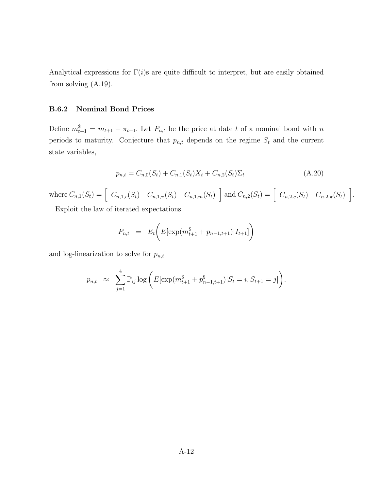Analytical expressions for  $\Gamma(i)$ s are quite difficult to interpret, but are easily obtained from solving (A.19).

#### B.6.2 Nominal Bond Prices

Define  $m_{t+1}^s = m_{t+1} - \pi_{t+1}$ . Let  $P_{n,t}$  be the price at date t of a nominal bond with n periods to maturity. Conjecture that  $p_{n,t}$  depends on the regime  $S_t$  and the current state variables,

$$
p_{n,t} = C_{n,0}(S_t) + C_{n,1}(S_t)X_t + C_{n,2}(S_t)\Sigma_t
$$
\n(A.20)

where  $C_{n,1}(S_t) = \begin{bmatrix} C_{n,1,c}(S_t) & C_{n,1,\pi}(S_t) & C_{n,1,m}(S_t) \end{bmatrix}$  and  $C_{n,2}(S_t) = \begin{bmatrix} C_{n,2,c}(S_t) & C_{n,2,\pi}(S_t) \end{bmatrix}$ .

Exploit the law of iterated expectations

$$
P_{n,t} = E_t \bigg( E[\exp(m_{t+1}^{\$} + p_{n-1,t+1}) | I_{t+1}] \bigg)
$$

and log-linearization to solve for  $p_{n,t}$ 

$$
p_{n,t} \approx \sum_{j=1}^4 \mathbb{P}_{ij} \log \bigg( E[\exp(m_{t+1}^{\$} + p_{n-1,t+1}^{\$}) | S_t = i, S_{t+1} = j] \bigg).
$$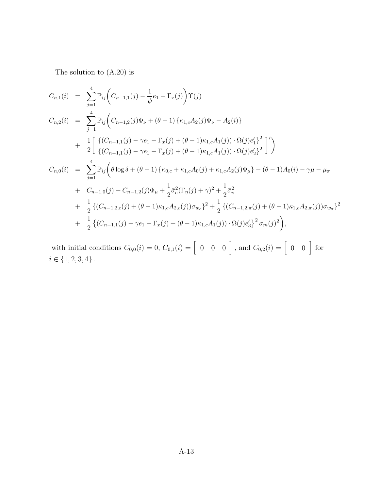The solution to (A.20) is

$$
C_{n,1}(i) = \sum_{j=1}^{4} \mathbb{P}_{ij} \Big( C_{n-1,1}(j) - \frac{1}{\psi} e_1 - \Gamma_x(j) \Big) \Upsilon(j)
$$
  
\n
$$
C_{n,2}(i) = \sum_{j=1}^{4} \mathbb{P}_{ij} \Big( C_{n-1,2}(j) \Phi_{\nu} + (\theta - 1) \{ \kappa_{1,c} A_2(j) \Phi_{\nu} - A_2(i) \}
$$
  
\n
$$
+ \frac{1}{2} \Big[ \Big\{ \big( C_{n-1,1}(j) - \gamma e_1 - \Gamma_x(j) + (\theta - 1) \kappa_{1,c} A_1(j) \big) \cdot \Omega(j) e'_1 \}^2 \Big\}' \Big\}' \Big\}
$$
  
\n
$$
C_{n,0}(i) = \sum_{j=1}^{4} \mathbb{P}_{ij} \Big( \theta \log \delta + (\theta - 1) \{ \kappa_{0,c} + \kappa_{1,c} A_0(j) + \kappa_{1,c} A_2(j) \Phi_{\mu} \} - (\theta - 1) A_0(i) - \gamma \mu - \mu_{\pi}
$$
  
\n
$$
+ C_{n-1,0}(j) + C_{n-1,2}(j) \Phi_{\mu} + \frac{1}{2} \overline{\sigma}_c^2(\Gamma_{\eta}(j) + \gamma)^2 + \frac{1}{2} \overline{\sigma}_{\pi}^2
$$
  
\n
$$
+ \frac{1}{2} \{ (C_{n-1,2,c}(j) + (\theta - 1) \kappa_{1,c} A_{2,c}(j)) \sigma_{w_c} \}^2 + \frac{1}{2} \{ (C_{n-1,2,\pi}(j) + (\theta - 1) \kappa_{1,c} A_{2,\pi}(j)) \sigma_{w_{\pi}} \}^2
$$
  
\n
$$
+ \frac{1}{2} \{ (C_{n-1,1}(j) - \gamma e_1 - \Gamma_x(j) + (\theta - 1) \kappa_{1,c} A_1(j)) \cdot \Omega(j) e'_3 \}^2 \sigma_m(j)^2 \Big),
$$

with initial conditions  $C_{0,0}(i) = 0, C_{0,1}(i) = \begin{bmatrix} 0 & 0 & 0 \end{bmatrix}$ , and  $C_{0,2}(i) = \begin{bmatrix} 0 & 0 \end{bmatrix}$  for  $i \in \{1, 2, 3, 4\}$ .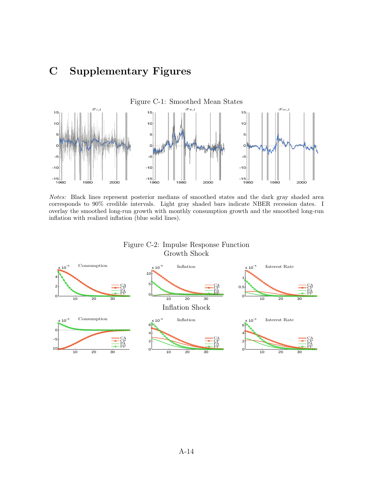# C Supplementary Figures



Notes: Black lines represent posterior medians of smoothed states and the dark gray shaded area corresponds to 90% credible intervals. Light gray shaded bars indicate NBER recession dates. I overlay the smoothed long-run growth with monthly consumption growth and the smoothed long-run inflation with realized inflation (blue solid lines).



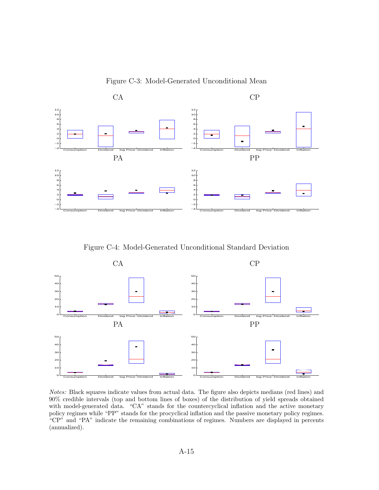



Figure C-4: Model-Generated Unconditional Standard Deviation



Notes: Black squares indicate values from actual data. The figure also depicts medians (red lines) and 90% credible intervals (top and bottom lines of boxes) of the distribution of yield spreads obtained with model-generated data. "CA" stands for the countercyclical inflation and the active monetary policy regimes while "PP" stands for the procyclical inflation and the passive monetary policy regimes. "CP" and "PA" indicate the remaining combinations of regimes. Numbers are displayed in percents (annualized).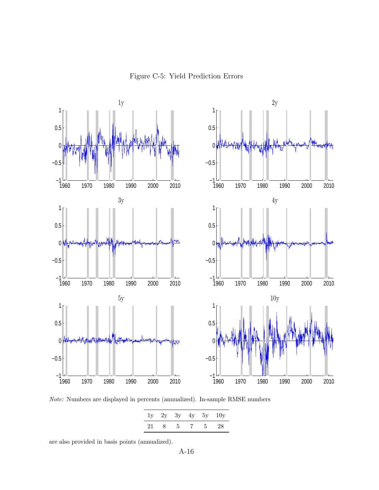

Note: Numbers are displayed in percents (annualized). In-sample RMSE numbers

|  |               | $1y$ 2y 3y 4y 5y 10y |
|--|---------------|----------------------|
|  | 21 8 5 7 5 28 |                      |

are also provided in basis points (annualized).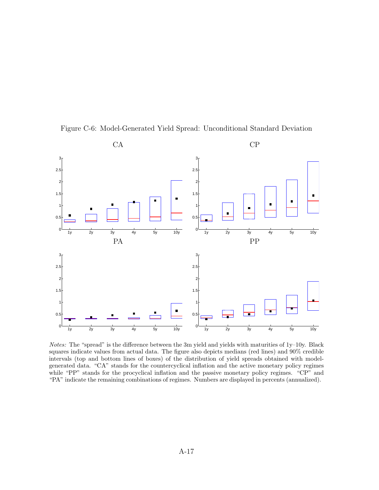

Figure C-6: Model-Generated Yield Spread: Unconditional Standard Deviation

Notes: The "spread" is the difference between the 3m yield and yields with maturities of 1y–10y. Black squares indicate values from actual data. The figure also depicts medians (red lines) and 90% credible intervals (top and bottom lines of boxes) of the distribution of yield spreads obtained with modelgenerated data. "CA" stands for the countercyclical inflation and the active monetary policy regimes while "PP" stands for the procyclical inflation and the passive monetary policy regimes. "CP" and "PA" indicate the remaining combinations of regimes. Numbers are displayed in percents (annualized).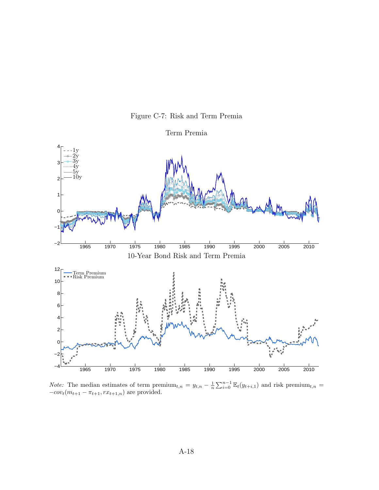





*Note:* The median estimates of term  $\text{premium}_{t,n} = y_{t,n} - \frac{1}{n} \sum_{i=0}^{n-1} \mathbb{E}_t(y_{t+i,1})$  and risk  $\text{premium}_{t,n} =$  $-cov_t(m_{t+1} - \pi_{t+1}, rx_{t+1,n})$  are provided.